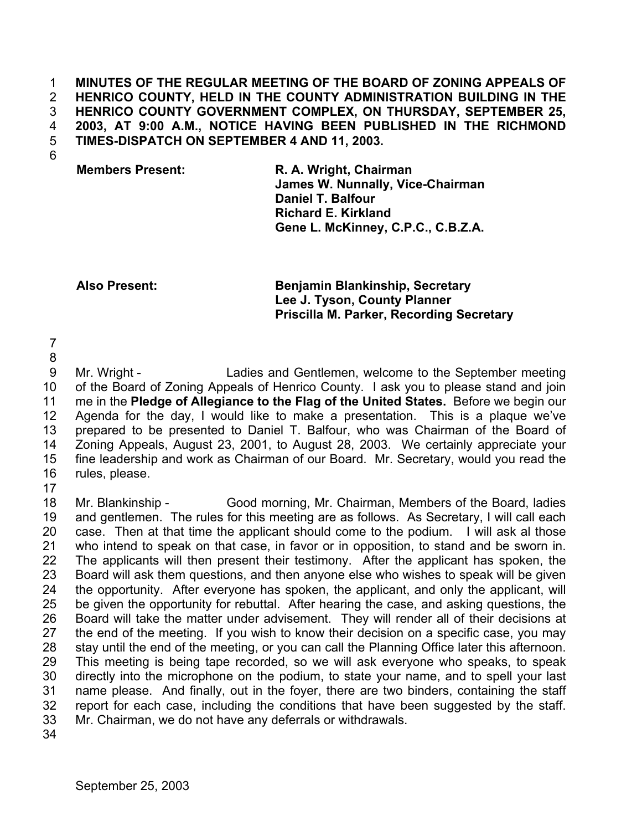### **MINUTES OF THE REGULAR MEETING OF THE BOARD OF ZONING APPEALS OF HENRICO COUNTY, HELD IN THE COUNTY ADMINISTRATION BUILDING IN THE HENRICO COUNTY GOVERNMENT COMPLEX, ON THURSDAY, SEPTEMBER 25, 2003, AT 9:00 A.M., NOTICE HAVING BEEN PUBLISHED IN THE RICHMOND TIMES-DISPATCH ON SEPTEMBER 4 AND 11, 2003.**  1 2 3 4 5

6

**Members Present: R. A. Wright, Chairman James W. Nunnally, Vice-Chairman Daniel T. Balfour Richard E. Kirkland Gene L. McKinney, C.P.C., C.B.Z.A.** 

**Also Present: Benjamin Blankinship, Secretary Lee J. Tyson, County Planner Priscilla M. Parker, Recording Secretary**

7 8

9 10 11 12 13 14 15 16 Mr. Wright - Ladies and Gentlemen, welcome to the September meeting of the Board of Zoning Appeals of Henrico County. I ask you to please stand and join me in the **Pledge of Allegiance to the Flag of the United States.** Before we begin our Agenda for the day, I would like to make a presentation. This is a plaque we've prepared to be presented to Daniel T. Balfour, who was Chairman of the Board of Zoning Appeals, August 23, 2001, to August 28, 2003. We certainly appreciate your fine leadership and work as Chairman of our Board. Mr. Secretary, would you read the rules, please.

17

18 19 20 21 22 23 24 25 26 27 28 29 30 31 32 33 Mr. Blankinship - Good morning, Mr. Chairman, Members of the Board, ladies and gentlemen. The rules for this meeting are as follows. As Secretary, I will call each case. Then at that time the applicant should come to the podium. I will ask al those who intend to speak on that case, in favor or in opposition, to stand and be sworn in. The applicants will then present their testimony. After the applicant has spoken, the Board will ask them questions, and then anyone else who wishes to speak will be given the opportunity. After everyone has spoken, the applicant, and only the applicant, will be given the opportunity for rebuttal. After hearing the case, and asking questions, the Board will take the matter under advisement. They will render all of their decisions at the end of the meeting. If you wish to know their decision on a specific case, you may stay until the end of the meeting, or you can call the Planning Office later this afternoon. This meeting is being tape recorded, so we will ask everyone who speaks, to speak directly into the microphone on the podium, to state your name, and to spell your last name please. And finally, out in the foyer, there are two binders, containing the staff report for each case, including the conditions that have been suggested by the staff. Mr. Chairman, we do not have any deferrals or withdrawals.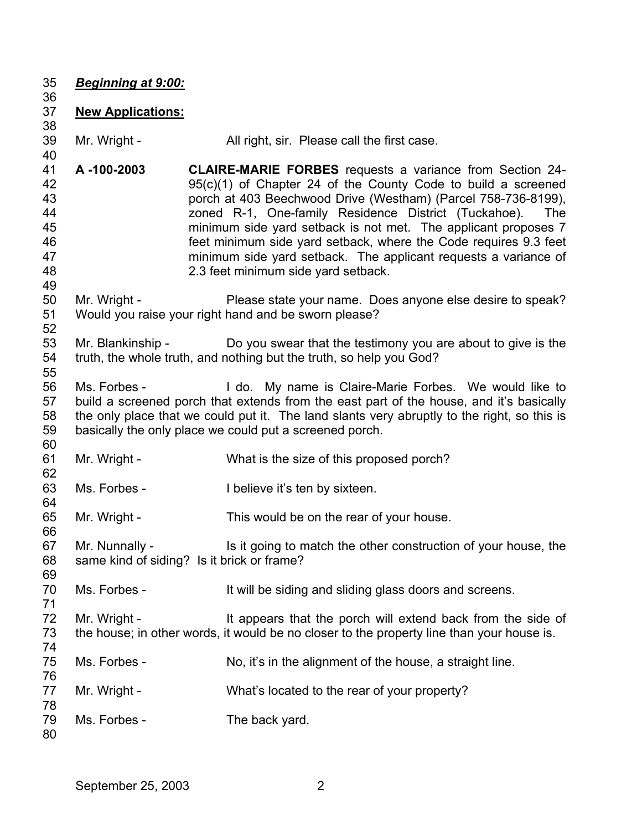*Beginning at 9:00:*

# **New Applications:**

- Mr. Wright - All right, sir. Please call the first case.
- **A -100-2003 CLAIRE-MARIE FORBES** requests a variance from Section 24- 95(c)(1) of Chapter 24 of the County Code to build a screened porch at 403 Beechwood Drive (Westham) (Parcel 758-736-8199), zoned R-1, One-family Residence District (Tuckahoe). The minimum side yard setback is not met. The applicant proposes 7 feet minimum side yard setback, where the Code requires 9.3 feet minimum side yard setback. The applicant requests a variance of 2.3 feet minimum side yard setback.
- Mr. Wright - Please state your name. Does anyone else desire to speak? Would you raise your right hand and be sworn please?
- Mr. Blankinship - Do you swear that the testimony you are about to give is the truth, the whole truth, and nothing but the truth, so help you God?
- Ms. Forbes - I do. My name is Claire-Marie Forbes. We would like to build a screened porch that extends from the east part of the house, and it's basically the only place that we could put it. The land slants very abruptly to the right, so this is basically the only place we could put a screened porch.
- Mr. Wright - What is the size of this proposed porch?
- Ms. Forbes - I believe it's ten by sixteen.
- Mr. Wright - This would be on the rear of your house.
- Mr. Nunnally - Is it going to match the other construction of your house, the same kind of siding? Is it brick or frame?
- Ms. Forbes - The Mull be siding and sliding glass doors and screens.
- Mr. Wright - The It appears that the porch will extend back from the side of the house; in other words, it would be no closer to the property line than your house is.
- Ms. Forbes - No, it's in the alignment of the house, a straight line.
- Mr. Wright - What's located to the rear of your property?
- Ms. Forbes - The back yard.
-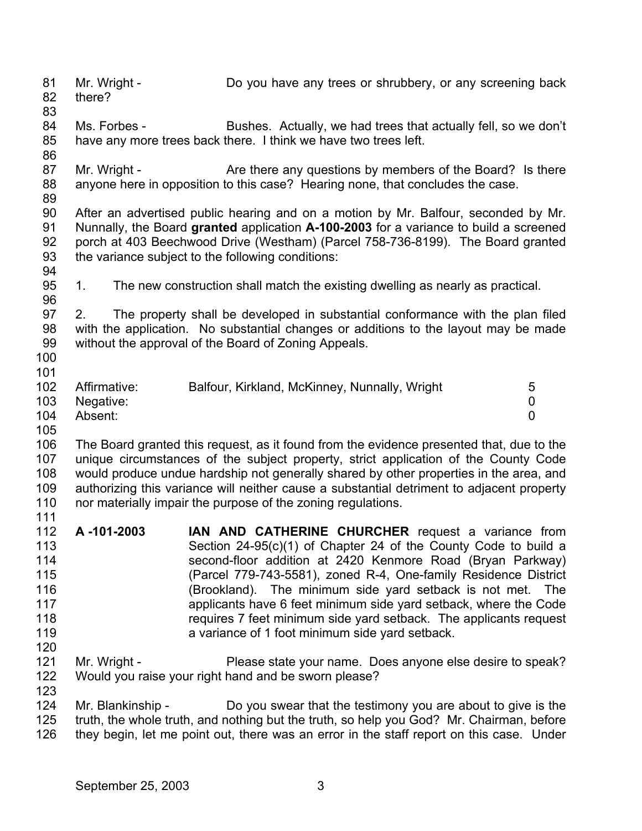81 82 Mr. Wright - Do you have any trees or shrubbery, or any screening back there?

83

84 85 Ms. Forbes - Bushes. Actually, we had trees that actually fell, so we don't have any more trees back there. I think we have two trees left.

87 88 Mr. Wright - Are there any questions by members of the Board? Is there anyone here in opposition to this case? Hearing none, that concludes the case.

89

94

86

90 91 92 93 After an advertised public hearing and on a motion by Mr. Balfour, seconded by Mr. Nunnally, the Board **granted** application **A-100-2003** for a variance to build a screened porch at 403 Beechwood Drive (Westham) (Parcel 758-736-8199). The Board granted the variance subject to the following conditions:

95 1. The new construction shall match the existing dwelling as nearly as practical.

96 97 98 99 2. The property shall be developed in substantial conformance with the plan filed with the application. No substantial changes or additions to the layout may be made without the approval of the Board of Zoning Appeals.

100 101

| 102 <sub>1</sub> | Affirmative:  | Balfour, Kirkland, McKinney, Nunnally, Wright |  |
|------------------|---------------|-----------------------------------------------|--|
|                  | 103 Negative: |                                               |  |
| 104              | Absent:       |                                               |  |

105

106 107 108 109 110 111 The Board granted this request, as it found from the evidence presented that, due to the unique circumstances of the subject property, strict application of the County Code would produce undue hardship not generally shared by other properties in the area, and authorizing this variance will neither cause a substantial detriment to adjacent property nor materially impair the purpose of the zoning regulations.

- 112 113 114 115 116 117 118 119 120 **A -101-2003 IAN AND CATHERINE CHURCHER** request a variance from Section 24-95(c)(1) of Chapter 24 of the County Code to build a second-floor addition at 2420 Kenmore Road (Bryan Parkway) (Parcel 779-743-5581), zoned R-4, One-family Residence District (Brookland). The minimum side yard setback is not met. The applicants have 6 feet minimum side yard setback, where the Code requires 7 feet minimum side yard setback. The applicants request a variance of 1 foot minimum side yard setback.
- 121 122 Mr. Wright - Please state your name. Does anyone else desire to speak? Would you raise your right hand and be sworn please?

123 124 125 126 Mr. Blankinship - Do you swear that the testimony you are about to give is the truth, the whole truth, and nothing but the truth, so help you God? Mr. Chairman, before they begin, let me point out, there was an error in the staff report on this case. Under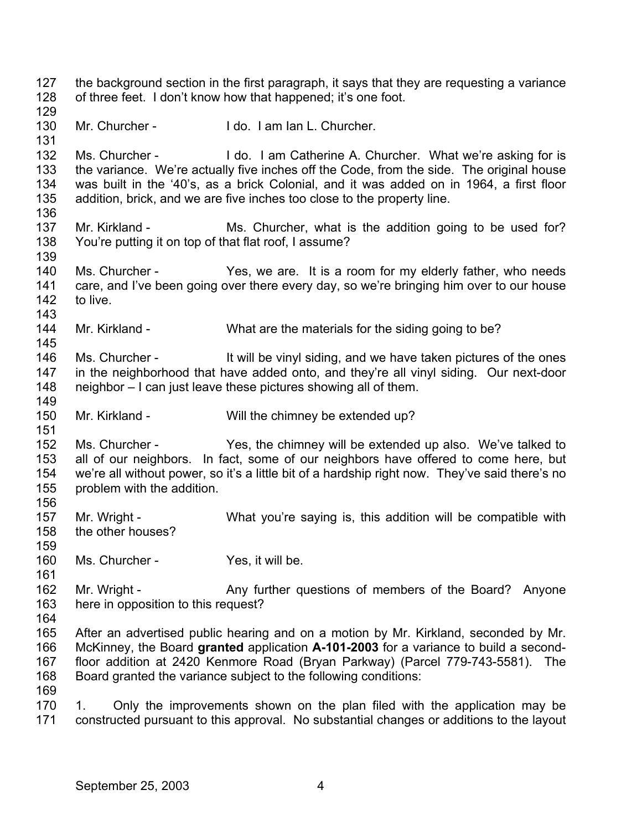127 128 129 130 131 132 133 134 135 136 137 138 139 140 141 142 143 144 145 146 147 148 149 150 151 152 153 154 155 156 157 158 159 160 161 162 163 164 165 166 167 168 169 170 171 the background section in the first paragraph, it says that they are requesting a variance of three feet. I don't know how that happened; it's one foot. Mr. Churcher - The Unit of Tennis I do. I am Ian L. Churcher. Ms. Churcher - I do. I am Catherine A. Churcher. What we're asking for is the variance. We're actually five inches off the Code, from the side. The original house was built in the '40's, as a brick Colonial, and it was added on in 1964, a first floor addition, brick, and we are five inches too close to the property line. Mr. Kirkland - Ms. Churcher, what is the addition going to be used for? You're putting it on top of that flat roof, I assume? Ms. Churcher - Yes, we are. It is a room for my elderly father, who needs care, and I've been going over there every day, so we're bringing him over to our house to live. Mr. Kirkland - What are the materials for the siding going to be? Ms. Churcher - It will be vinyl siding, and we have taken pictures of the ones in the neighborhood that have added onto, and they're all vinyl siding. Our next-door neighbor – I can just leave these pictures showing all of them. Mr. Kirkland - Will the chimney be extended up? Ms. Churcher - Yes, the chimney will be extended up also. We've talked to all of our neighbors. In fact, some of our neighbors have offered to come here, but we're all without power, so it's a little bit of a hardship right now. They've said there's no problem with the addition. Mr. Wright - What you're saying is, this addition will be compatible with the other houses? Ms. Churcher - Yes, it will be. Mr. Wright - Any further questions of members of the Board? Anyone here in opposition to this request? After an advertised public hearing and on a motion by Mr. Kirkland, seconded by Mr. McKinney, the Board **granted** application **A-101-2003** for a variance to build a secondfloor addition at 2420 Kenmore Road (Bryan Parkway) (Parcel 779-743-5581). The Board granted the variance subject to the following conditions: 1. Only the improvements shown on the plan filed with the application may be constructed pursuant to this approval. No substantial changes or additions to the layout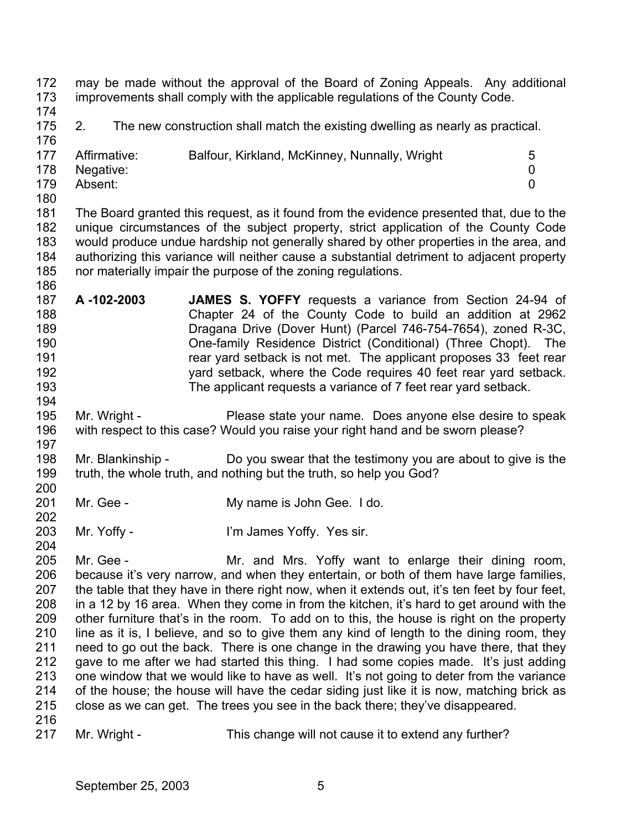172 173 may be made without the approval of the Board of Zoning Appeals. Any additional improvements shall comply with the applicable regulations of the County Code.

174

175 176 2. The new construction shall match the existing dwelling as nearly as practical.

| .   |              |                                               |   |
|-----|--------------|-----------------------------------------------|---|
| 177 | Affirmative: | Balfour, Kirkland, McKinney, Nunnally, Wright | 5 |
| 178 | Negative:    |                                               |   |
| 179 | Absent:      |                                               |   |
|     |              |                                               |   |

180

186

194

202

204

181 182 183 184 185 The Board granted this request, as it found from the evidence presented that, due to the unique circumstances of the subject property, strict application of the County Code would produce undue hardship not generally shared by other properties in the area, and authorizing this variance will neither cause a substantial detriment to adjacent property nor materially impair the purpose of the zoning regulations.

- 187 188 189 190 191 192 193 **A -102-2003 JAMES S. YOFFY** requests a variance from Section 24-94 of Chapter 24 of the County Code to build an addition at 2962 Dragana Drive (Dover Hunt) (Parcel 746-754-7654), zoned R-3C, One-family Residence District (Conditional) (Three Chopt). The rear yard setback is not met. The applicant proposes 33 feet rear yard setback, where the Code requires 40 feet rear yard setback. The applicant requests a variance of 7 feet rear yard setback.
- 195 196 197 Mr. Wright - Please state your name. Does anyone else desire to speak with respect to this case? Would you raise your right hand and be sworn please?
- 198 199 200 Mr. Blankinship - Do you swear that the testimony you are about to give is the truth, the whole truth, and nothing but the truth, so help you God?
- 201 Mr. Gee - My name is John Gee. I do.
- 203 Mr. Yoffy - I'm James Yoffy. Yes sir.
- 205 206 207 208 209 210 211 212 213 214 215 216 Mr. Gee - Mr. and Mrs. Yoffy want to enlarge their dining room, because it's very narrow, and when they entertain, or both of them have large families, the table that they have in there right now, when it extends out, it's ten feet by four feet, in a 12 by 16 area. When they come in from the kitchen, it's hard to get around with the other furniture that's in the room. To add on to this, the house is right on the property line as it is, I believe, and so to give them any kind of length to the dining room, they need to go out the back. There is one change in the drawing you have there, that they gave to me after we had started this thing. I had some copies made. It's just adding one window that we would like to have as well. It's not going to deter from the variance of the house; the house will have the cedar siding just like it is now, matching brick as close as we can get. The trees you see in the back there; they've disappeared.
- 217 Mr. Wright - This change will not cause it to extend any further?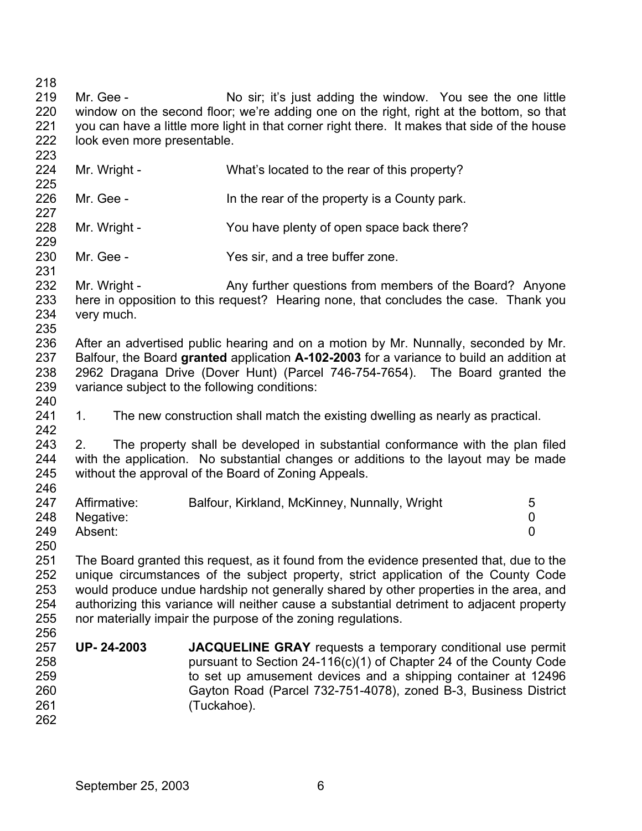218 219 220 221 222 223 224 225 226 227 228 229 230 231 232 233 Mr. Gee - No sir; it's just adding the window. You see the one little window on the second floor; we're adding one on the right, right at the bottom, so that you can have a little more light in that corner right there. It makes that side of the house look even more presentable. Mr. Wright - What's located to the rear of this property? Mr. Gee - In the rear of the property is a County park. Mr. Wright - You have plenty of open space back there? Mr. Gee - Yes sir, and a tree buffer zone. Mr. Wright - Any further questions from members of the Board? Anyone

234 235 here in opposition to this request? Hearing none, that concludes the case. Thank you very much.

236 237 238 239 After an advertised public hearing and on a motion by Mr. Nunnally, seconded by Mr. Balfour, the Board **granted** application **A-102-2003** for a variance to build an addition at 2962 Dragana Drive (Dover Hunt) (Parcel 746-754-7654). The Board granted the variance subject to the following conditions:

241 1. The new construction shall match the existing dwelling as nearly as practical.

243 244 245 246 2. The property shall be developed in substantial conformance with the plan filed with the application. No substantial changes or additions to the layout may be made without the approval of the Board of Zoning Appeals.

| 247 | Affirmative:  | Balfour, Kirkland, McKinney, Nunnally, Wright | 5 |
|-----|---------------|-----------------------------------------------|---|
|     | 248 Negative: |                                               |   |
| 249 | Absent:       |                                               |   |
| 250 |               |                                               |   |

251 252 253 254 255 256 The Board granted this request, as it found from the evidence presented that, due to the unique circumstances of the subject property, strict application of the County Code would produce undue hardship not generally shared by other properties in the area, and authorizing this variance will neither cause a substantial detriment to adjacent property nor materially impair the purpose of the zoning regulations.

257 258 259 260 261 262 **UP- 24-2003 JACQUELINE GRAY** requests a temporary conditional use permit pursuant to Section 24-116(c)(1) of Chapter 24 of the County Code to set up amusement devices and a shipping container at 12496 Gayton Road (Parcel 732-751-4078), zoned B-3, Business District (Tuckahoe).

240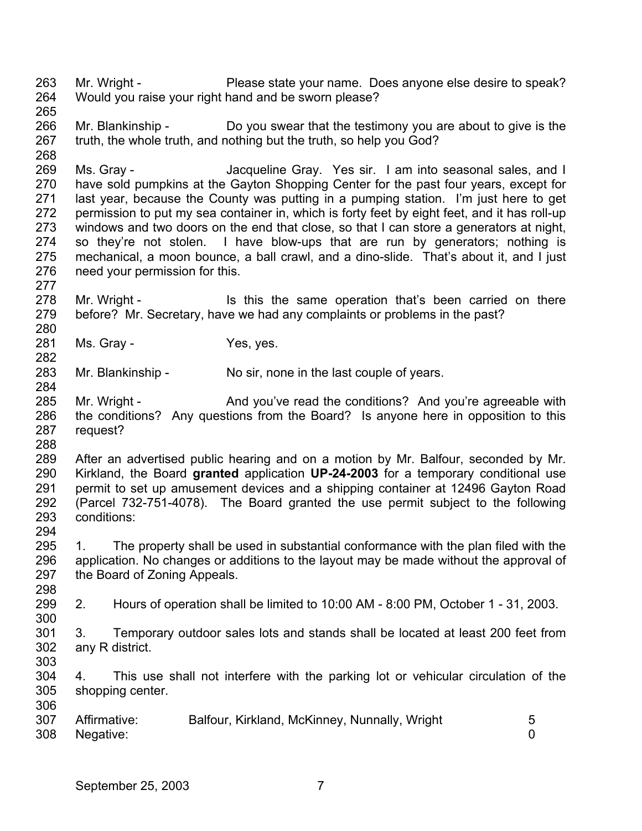263 264 265 Mr. Wright - Please state your name. Does anyone else desire to speak? Would you raise your right hand and be sworn please?

266 267 268 Mr. Blankinship - Do you swear that the testimony you are about to give is the truth, the whole truth, and nothing but the truth, so help you God?

269 270 271 272 273 274 275 276 Ms. Gray - The Macqueline Gray. Yes sir. I am into seasonal sales, and I have sold pumpkins at the Gayton Shopping Center for the past four years, except for last year, because the County was putting in a pumping station. I'm just here to get permission to put my sea container in, which is forty feet by eight feet, and it has roll-up windows and two doors on the end that close, so that I can store a generators at night, so they're not stolen. I have blow-ups that are run by generators; nothing is mechanical, a moon bounce, a ball crawl, and a dino-slide. That's about it, and I just need your permission for this.

278 279 Mr. Wright - The state of this the same operation that's been carried on there before? Mr. Secretary, have we had any complaints or problems in the past?

281 282 Ms. Gray - The Yes, yes.

283 Mr. Blankinship - No sir, none in the last couple of years.

285 286 287 Mr. Wright - And you've read the conditions? And you're agreeable with the conditions? Any questions from the Board? Is anyone here in opposition to this request?

288

306

277

280

284

289 290 291 292 293 294 After an advertised public hearing and on a motion by Mr. Balfour, seconded by Mr. Kirkland, the Board **granted** application **UP-24-2003** for a temporary conditional use permit to set up amusement devices and a shipping container at 12496 Gayton Road (Parcel 732-751-4078). The Board granted the use permit subject to the following conditions:

295 296 297 298 1. The property shall be used in substantial conformance with the plan filed with the application. No changes or additions to the layout may be made without the approval of the Board of Zoning Appeals.

299 300 2. Hours of operation shall be limited to 10:00 AM - 8:00 PM, October 1 - 31, 2003.

301 302 303 3. Temporary outdoor sales lots and stands shall be located at least 200 feet from any R district.

304 305 4. This use shall not interfere with the parking lot or vehicular circulation of the shopping center.

| 307 | Affirmative: | Balfour, Kirkland, McKinney, Nunnally, Wright |  |
|-----|--------------|-----------------------------------------------|--|
| 308 | Negative:    |                                               |  |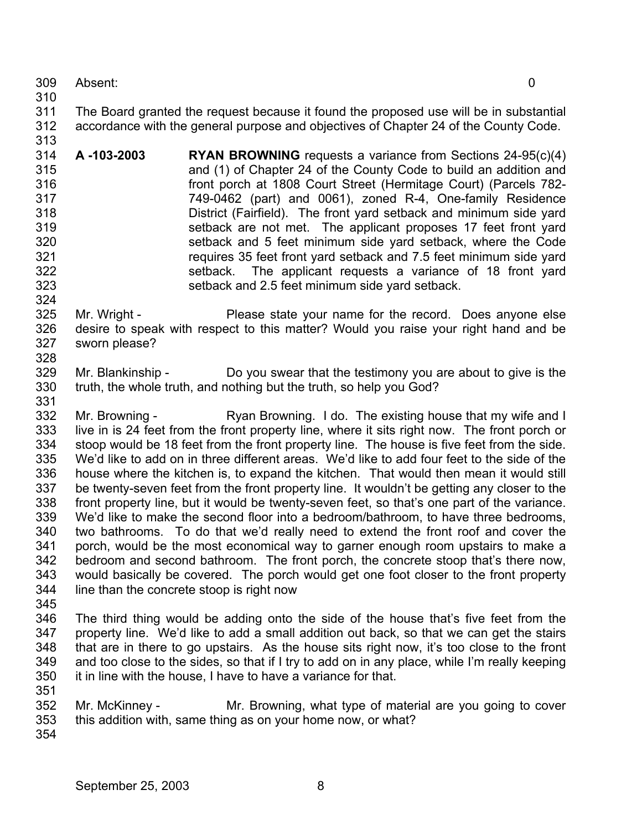- 309 Absent: 0
- 310

313

324

- 311 312 The Board granted the request because it found the proposed use will be in substantial accordance with the general purpose and objectives of Chapter 24 of the County Code.
- 314 315 316 317 318 319 320 321 322 323 **A -103-2003 RYAN BROWNING** requests a variance from Sections 24-95(c)(4) and (1) of Chapter 24 of the County Code to build an addition and front porch at 1808 Court Street (Hermitage Court) (Parcels 782- 749-0462 (part) and 0061), zoned R-4, One-family Residence District (Fairfield). The front yard setback and minimum side yard setback are not met. The applicant proposes 17 feet front yard setback and 5 feet minimum side yard setback, where the Code requires 35 feet front yard setback and 7.5 feet minimum side yard setback. The applicant requests a variance of 18 front yard setback and 2.5 feet minimum side yard setback.
- 325 326 327 328 Mr. Wright - Please state your name for the record. Does anyone else desire to speak with respect to this matter? Would you raise your right hand and be sworn please?
- 329 330 331 Mr. Blankinship - Do you swear that the testimony you are about to give is the truth, the whole truth, and nothing but the truth, so help you God?
- 332 333 334 335 336 337 338 339 340 341 342 343 344 345 Mr. Browning - Ryan Browning. I do. The existing house that my wife and I live in is 24 feet from the front property line, where it sits right now. The front porch or stoop would be 18 feet from the front property line. The house is five feet from the side. We'd like to add on in three different areas. We'd like to add four feet to the side of the house where the kitchen is, to expand the kitchen. That would then mean it would still be twenty-seven feet from the front property line. It wouldn't be getting any closer to the front property line, but it would be twenty-seven feet, so that's one part of the variance. We'd like to make the second floor into a bedroom/bathroom, to have three bedrooms, two bathrooms. To do that we'd really need to extend the front roof and cover the porch, would be the most economical way to garner enough room upstairs to make a bedroom and second bathroom. The front porch, the concrete stoop that's there now, would basically be covered. The porch would get one foot closer to the front property line than the concrete stoop is right now
- 346 347 348 349 350 The third thing would be adding onto the side of the house that's five feet from the property line. We'd like to add a small addition out back, so that we can get the stairs that are in there to go upstairs. As the house sits right now, it's too close to the front and too close to the sides, so that if I try to add on in any place, while I'm really keeping it in line with the house, I have to have a variance for that.
- 352 353 Mr. McKinney - The Mr. Browning, what type of material are you going to cover this addition with, same thing as on your home now, or what?
- 354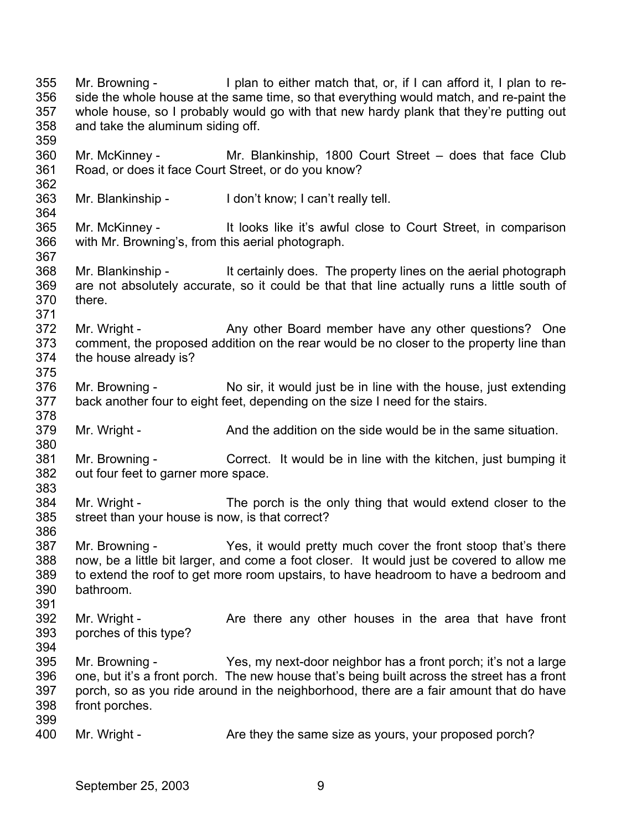355 356 357 358 359 360 361 362 363 364 365 366 367 368 369 370 371 372 373 374 375 376 377 378 379 380 381 382 383 384 385 386 387 388 389 390 391 392 393 394 395 396 397 398 399 400 Mr. Browning - I plan to either match that, or, if I can afford it, I plan to reside the whole house at the same time, so that everything would match, and re-paint the whole house, so I probably would go with that new hardy plank that they're putting out and take the aluminum siding off. Mr. McKinney - Mr. Blankinship, 1800 Court Street – does that face Club Road, or does it face Court Street, or do you know? Mr. Blankinship - I don't know; I can't really tell. Mr. McKinney - It looks like it's awful close to Court Street, in comparison with Mr. Browning's, from this aerial photograph. Mr. Blankinship - It certainly does. The property lines on the aerial photograph are not absolutely accurate, so it could be that that line actually runs a little south of there. Mr. Wright - Any other Board member have any other questions? One comment, the proposed addition on the rear would be no closer to the property line than the house already is? Mr. Browning - No sir, it would just be in line with the house, just extending back another four to eight feet, depending on the size I need for the stairs. Mr. Wright - And the addition on the side would be in the same situation. Mr. Browning - Correct. It would be in line with the kitchen, just bumping it out four feet to garner more space. Mr. Wright - The porch is the only thing that would extend closer to the street than your house is now, is that correct? Mr. Browning - Yes, it would pretty much cover the front stoop that's there now, be a little bit larger, and come a foot closer. It would just be covered to allow me to extend the roof to get more room upstairs, to have headroom to have a bedroom and bathroom. Mr. Wright - The Are there any other houses in the area that have front porches of this type? Mr. Browning - Yes, my next-door neighbor has a front porch; it's not a large one, but it's a front porch. The new house that's being built across the street has a front porch, so as you ride around in the neighborhood, there are a fair amount that do have front porches. Mr. Wright - Are they the same size as yours, your proposed porch?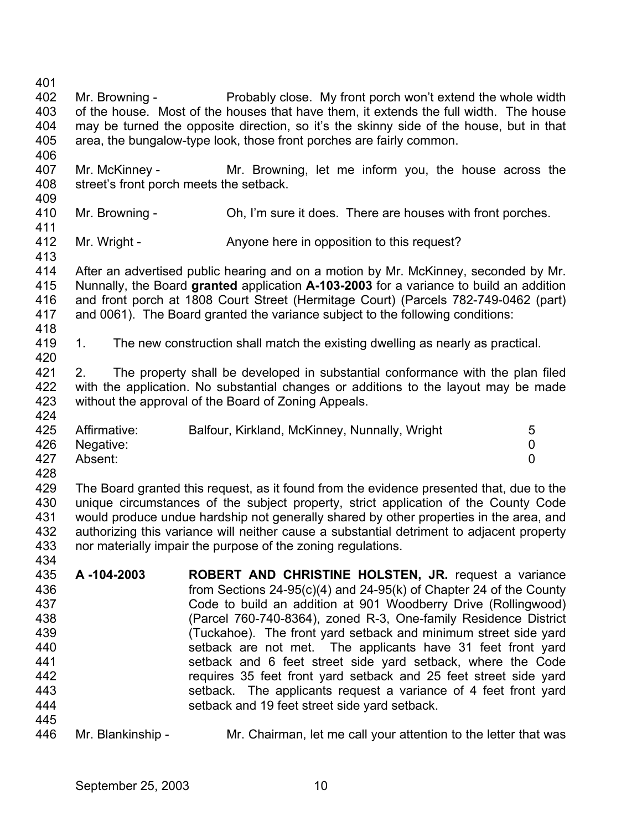401 402 403 404 405 406 407 408 409 410 411 412 413 414 415 416 417 418 419 420 421 422 423 424 425 426 427 428 429 430 431 432 433 434 435 436 437 438 439 440 441 442 443 444 445 446 Mr. Browning - Probably close. My front porch won't extend the whole width of the house. Most of the houses that have them, it extends the full width. The house may be turned the opposite direction, so it's the skinny side of the house, but in that area, the bungalow-type look, those front porches are fairly common. Mr. McKinney - Mr. Browning, let me inform you, the house across the street's front porch meets the setback. Mr. Browning - Oh, I'm sure it does. There are houses with front porches. Mr. Wright - Anyone here in opposition to this request? After an advertised public hearing and on a motion by Mr. McKinney, seconded by Mr. Nunnally, the Board **granted** application **A-103-2003** for a variance to build an addition and front porch at 1808 Court Street (Hermitage Court) (Parcels 782-749-0462 (part) and 0061). The Board granted the variance subject to the following conditions: 1. The new construction shall match the existing dwelling as nearly as practical. 2. The property shall be developed in substantial conformance with the plan filed with the application. No substantial changes or additions to the layout may be made without the approval of the Board of Zoning Appeals. Affirmative: Balfour, Kirkland, McKinney, Nunnally, Wright 5 Negative: 0 Absent: 0 The Board granted this request, as it found from the evidence presented that, due to the unique circumstances of the subject property, strict application of the County Code would produce undue hardship not generally shared by other properties in the area, and authorizing this variance will neither cause a substantial detriment to adjacent property nor materially impair the purpose of the zoning regulations. **A -104-2003 ROBERT AND CHRISTINE HOLSTEN, JR.** request a variance from Sections 24-95(c)(4) and 24-95(k) of Chapter 24 of the County Code to build an addition at 901 Woodberry Drive (Rollingwood) (Parcel 760-740-8364), zoned R-3, One-family Residence District (Tuckahoe). The front yard setback and minimum street side yard setback are not met. The applicants have 31 feet front yard setback and 6 feet street side yard setback, where the Code requires 35 feet front yard setback and 25 feet street side yard setback. The applicants request a variance of 4 feet front yard setback and 19 feet street side yard setback.

Mr. Blankinship - Mr. Chairman, let me call your attention to the letter that was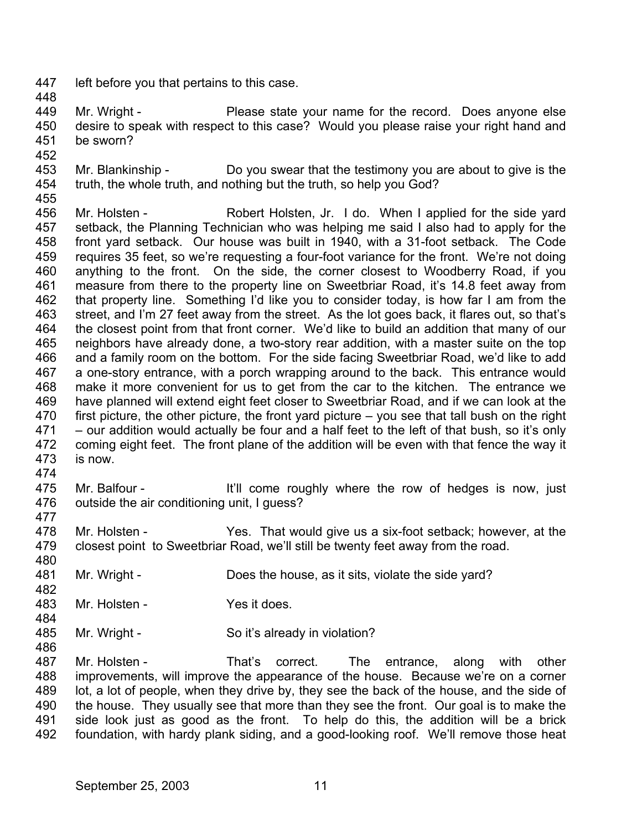- 447 left before you that pertains to this case.
- 448

449 450 451 Mr. Wright - Please state your name for the record. Does anyone else desire to speak with respect to this case? Would you please raise your right hand and be sworn?

452

480

482

484

486

- 453 454 Mr. Blankinship - Do you swear that the testimony you are about to give is the truth, the whole truth, and nothing but the truth, so help you God?
- 455 456

457 458 459 460 461 462 463 464 465 466 467 468 469 470 471 472 473 474 Mr. Holsten - Robert Holsten, Jr. I do. When I applied for the side yard setback, the Planning Technician who was helping me said I also had to apply for the front yard setback. Our house was built in 1940, with a 31-foot setback. The Code requires 35 feet, so we're requesting a four-foot variance for the front. We're not doing anything to the front. On the side, the corner closest to Woodberry Road, if you measure from there to the property line on Sweetbriar Road, it's 14.8 feet away from that property line. Something I'd like you to consider today, is how far I am from the street, and I'm 27 feet away from the street. As the lot goes back, it flares out, so that's the closest point from that front corner. We'd like to build an addition that many of our neighbors have already done, a two-story rear addition, with a master suite on the top and a family room on the bottom. For the side facing Sweetbriar Road, we'd like to add a one-story entrance, with a porch wrapping around to the back. This entrance would make it more convenient for us to get from the car to the kitchen. The entrance we have planned will extend eight feet closer to Sweetbriar Road, and if we can look at the first picture, the other picture, the front yard picture – you see that tall bush on the right – our addition would actually be four and a half feet to the left of that bush, so it's only coming eight feet. The front plane of the addition will be even with that fence the way it is now.

- 475 476 477 Mr. Balfour - It'll come roughly where the row of hedges is now, just outside the air conditioning unit, I guess?
- 478 479 Mr. Holsten - Yes. That would give us a six-foot setback; however, at the closest point to Sweetbriar Road, we'll still be twenty feet away from the road.
- 481 Mr. Wright - Does the house, as it sits, violate the side yard?
- 483 Mr. Holsten - Yes it does.
- 485 Mr. Wright - So it's already in violation?

487 488 489 490 491 492 Mr. Holsten - That's correct. The entrance, along with other improvements, will improve the appearance of the house. Because we're on a corner lot, a lot of people, when they drive by, they see the back of the house, and the side of the house. They usually see that more than they see the front. Our goal is to make the side look just as good as the front. To help do this, the addition will be a brick foundation, with hardy plank siding, and a good-looking roof. We'll remove those heat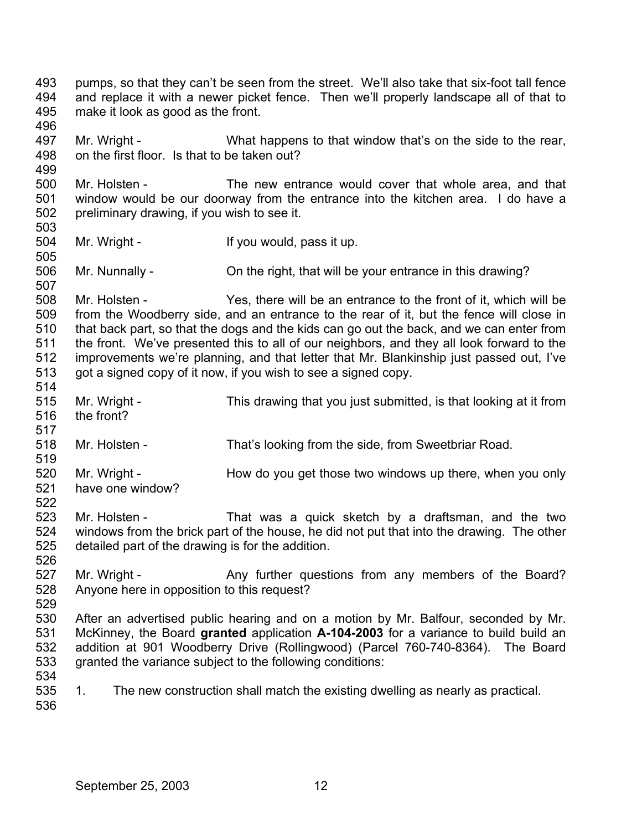493 494 495 496 497 498 499 500 501 502 503 504 505 506 507 508 509 510 511 512 513 514 515 516 517 518 519 520 521 522 523 524 525 526 527 528 529 530 531 532 533 534 535 536 pumps, so that they can't be seen from the street. We'll also take that six-foot tall fence and replace it with a newer picket fence. Then we'll properly landscape all of that to make it look as good as the front. Mr. Wright - What happens to that window that's on the side to the rear, on the first floor. Is that to be taken out? Mr. Holsten - The new entrance would cover that whole area, and that window would be our doorway from the entrance into the kitchen area. I do have a preliminary drawing, if you wish to see it. Mr. Wright - If you would, pass it up. Mr. Nunnally - Christian in the right, that will be your entrance in this drawing? Mr. Holsten - Yes, there will be an entrance to the front of it, which will be from the Woodberry side, and an entrance to the rear of it, but the fence will close in that back part, so that the dogs and the kids can go out the back, and we can enter from the front. We've presented this to all of our neighbors, and they all look forward to the improvements we're planning, and that letter that Mr. Blankinship just passed out, I've got a signed copy of it now, if you wish to see a signed copy. Mr. Wright - This drawing that you just submitted, is that looking at it from the front? Mr. Holsten - That's looking from the side, from Sweetbriar Road. Mr. Wright - How do you get those two windows up there, when you only have one window? Mr. Holsten - That was a quick sketch by a draftsman, and the two windows from the brick part of the house, he did not put that into the drawing. The other detailed part of the drawing is for the addition. Mr. Wright - Any further questions from any members of the Board? Anyone here in opposition to this request? After an advertised public hearing and on a motion by Mr. Balfour, seconded by Mr. McKinney, the Board **granted** application **A-104-2003** for a variance to build build an addition at 901 Woodberry Drive (Rollingwood) (Parcel 760-740-8364). The Board granted the variance subject to the following conditions: 1. The new construction shall match the existing dwelling as nearly as practical.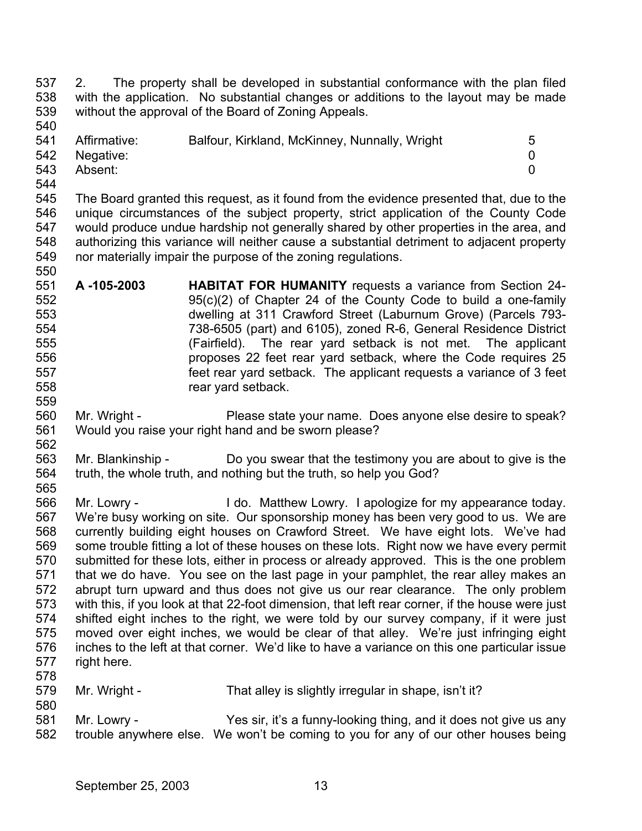537 538 539 540 2. The property shall be developed in substantial conformance with the plan filed with the application. No substantial changes or additions to the layout may be made without the approval of the Board of Zoning Appeals.

| 541 | Affirmative:  | Balfour, Kirkland, McKinney, Nunnally, Wright | 5 |
|-----|---------------|-----------------------------------------------|---|
|     | 542 Negative: |                                               |   |
| 543 | Absent:       |                                               |   |
| 544 |               |                                               |   |

545 546 547 548 549 550 The Board granted this request, as it found from the evidence presented that, due to the unique circumstances of the subject property, strict application of the County Code would produce undue hardship not generally shared by other properties in the area, and authorizing this variance will neither cause a substantial detriment to adjacent property nor materially impair the purpose of the zoning regulations.

- 551 552 553 554 555 556 557 558 **A -105-2003 HABITAT FOR HUMANITY** requests a variance from Section 24- 95(c)(2) of Chapter 24 of the County Code to build a one-family dwelling at 311 Crawford Street (Laburnum Grove) (Parcels 793- 738-6505 (part) and 6105), zoned R-6, General Residence District (Fairfield). The rear yard setback is not met. The applicant proposes 22 feet rear yard setback, where the Code requires 25 feet rear yard setback. The applicant requests a variance of 3 feet rear yard setback.
- 560 561 Mr. Wright - Please state your name. Does anyone else desire to speak? Would you raise your right hand and be sworn please?
- 563 564 Mr. Blankinship - Do you swear that the testimony you are about to give is the truth, the whole truth, and nothing but the truth, so help you God?
- 566 567 568 569 570 571 572 573 574 575 576 577 578 Mr. Lowry - I do. Matthew Lowry. I apologize for my appearance today. We're busy working on site. Our sponsorship money has been very good to us. We are currently building eight houses on Crawford Street. We have eight lots. We've had some trouble fitting a lot of these houses on these lots. Right now we have every permit submitted for these lots, either in process or already approved. This is the one problem that we do have. You see on the last page in your pamphlet, the rear alley makes an abrupt turn upward and thus does not give us our rear clearance. The only problem with this, if you look at that 22-foot dimension, that left rear corner, if the house were just shifted eight inches to the right, we were told by our survey company, if it were just moved over eight inches, we would be clear of that alley. We're just infringing eight inches to the left at that corner. We'd like to have a variance on this one particular issue right here.
- 579 Mr. Wright - That alley is slightly irregular in shape, isn't it?
- 581 582 Mr. Lowry - Yes sir, it's a funny-looking thing, and it does not give us any trouble anywhere else. We won't be coming to you for any of our other houses being

559

562

565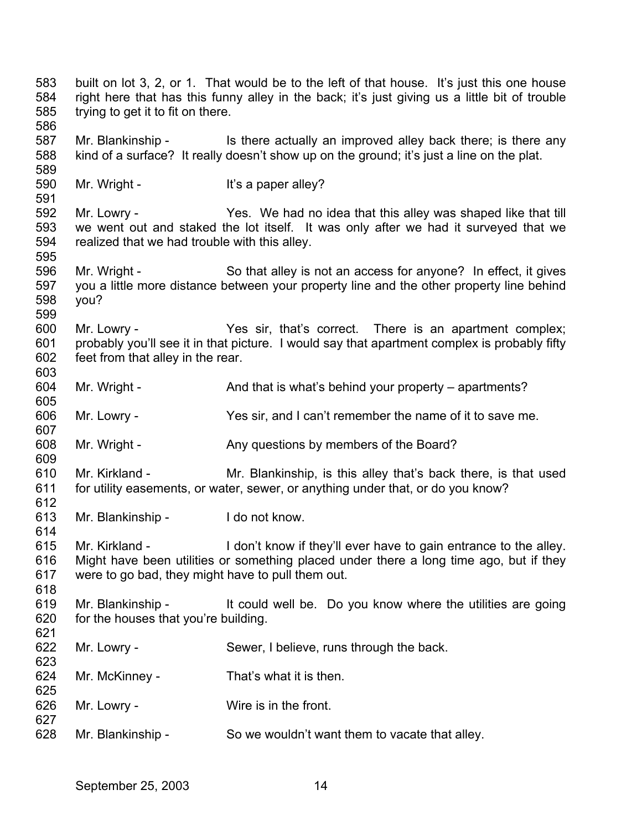583 584 585 586 built on lot 3, 2, or 1. That would be to the left of that house. It's just this one house right here that has this funny alley in the back; it's just giving us a little bit of trouble trying to get it to fit on there.

587 588 589 Mr. Blankinship - Is there actually an improved alley back there; is there any kind of a surface? It really doesn't show up on the ground; it's just a line on the plat.

590 Mr. Wright - It's a paper alley?

591

595

599

605

607

609

614

623

625

627

592 593 594 Mr. Lowry - The Yes. We had no idea that this alley was shaped like that till we went out and staked the lot itself. It was only after we had it surveyed that we realized that we had trouble with this alley.

596 597 598 Mr. Wright - So that alley is not an access for anyone? In effect, it gives you a little more distance between your property line and the other property line behind you?

600 601 602 603 Mr. Lowry - There is an apartment complex; probably you'll see it in that picture. I would say that apartment complex is probably fifty feet from that alley in the rear.

604 Mr. Wright - And that is what's behind your property – apartments?

606 Mr. Lowry - Yes sir, and I can't remember the name of it to save me.

608 Mr. Wright - Any questions by members of the Board?

610 611 612 Mr. Kirkland - Mr. Blankinship, is this alley that's back there, is that used for utility easements, or water, sewer, or anything under that, or do you know?

613 Mr. Blankinship - I do not know.

615 616 617 618 Mr. Kirkland - I don't know if they'll ever have to gain entrance to the alley. Might have been utilities or something placed under there a long time ago, but if they were to go bad, they might have to pull them out.

619 620 621 Mr. Blankinship - It could well be. Do you know where the utilities are going for the houses that you're building.

- 622 Mr. Lowry - Sewer, I believe, runs through the back.
- 624 Mr. McKinney - That's what it is then.
- 626 Mr. Lowry - Wire is in the front.
- 628 Mr. Blankinship - So we wouldn't want them to vacate that alley.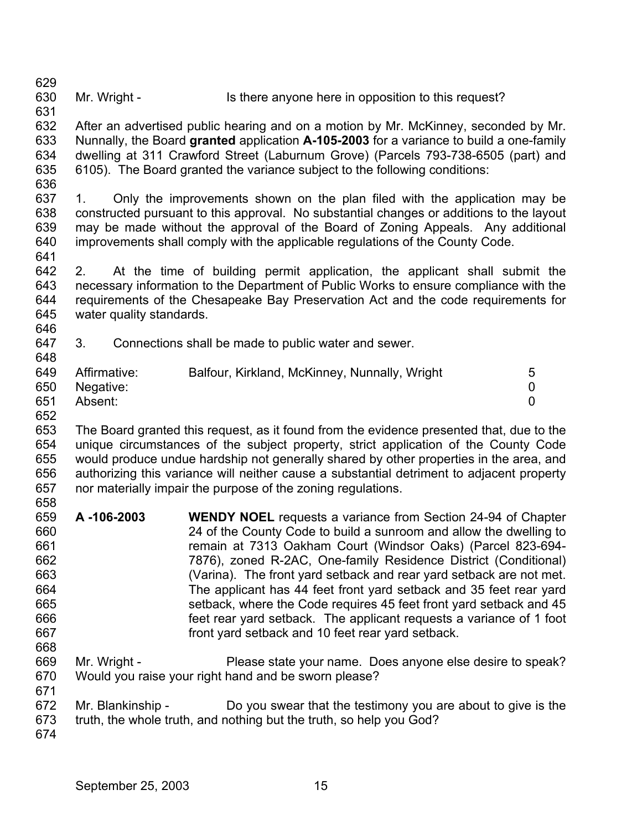629 630 Mr. Wright - Is there anyone here in opposition to this request?

631 632 633 634 635 636 After an advertised public hearing and on a motion by Mr. McKinney, seconded by Mr. Nunnally, the Board **granted** application **A-105-2003** for a variance to build a one-family dwelling at 311 Crawford Street (Laburnum Grove) (Parcels 793-738-6505 (part) and 6105). The Board granted the variance subject to the following conditions:

637 638 639 640 641 1. Only the improvements shown on the plan filed with the application may be constructed pursuant to this approval. No substantial changes or additions to the layout may be made without the approval of the Board of Zoning Appeals. Any additional improvements shall comply with the applicable regulations of the County Code.

642 643 644 645 646 2. At the time of building permit application, the applicant shall submit the necessary information to the Department of Public Works to ensure compliance with the requirements of the Chesapeake Bay Preservation Act and the code requirements for water quality standards.

647 648 3. Connections shall be made to public water and sewer.

| 649 | Affirmative:  | Balfour, Kirkland, McKinney, Nunnally, Wright |  |
|-----|---------------|-----------------------------------------------|--|
|     | 650 Negative: |                                               |  |
| 651 | Absent:       |                                               |  |

652

653 654 655 656 657 658 The Board granted this request, as it found from the evidence presented that, due to the unique circumstances of the subject property, strict application of the County Code would produce undue hardship not generally shared by other properties in the area, and authorizing this variance will neither cause a substantial detriment to adjacent property nor materially impair the purpose of the zoning regulations.

- 659 660 661 662 663 664 665 666 667 668 **A -106-2003 WENDY NOEL** requests a variance from Section 24-94 of Chapter 24 of the County Code to build a sunroom and allow the dwelling to remain at 7313 Oakham Court (Windsor Oaks) (Parcel 823-694- 7876), zoned R-2AC, One-family Residence District (Conditional) (Varina). The front yard setback and rear yard setback are not met. The applicant has 44 feet front yard setback and 35 feet rear yard setback, where the Code requires 45 feet front yard setback and 45 feet rear yard setback. The applicant requests a variance of 1 foot front yard setback and 10 feet rear yard setback.
- 669 670 Mr. Wright - **Please state your name.** Does anyone else desire to speak? Would you raise your right hand and be sworn please?
- 672 Mr. Blankinship - Do you swear that the testimony you are about to give is the
- 673 truth, the whole truth, and nothing but the truth, so help you God?
- 674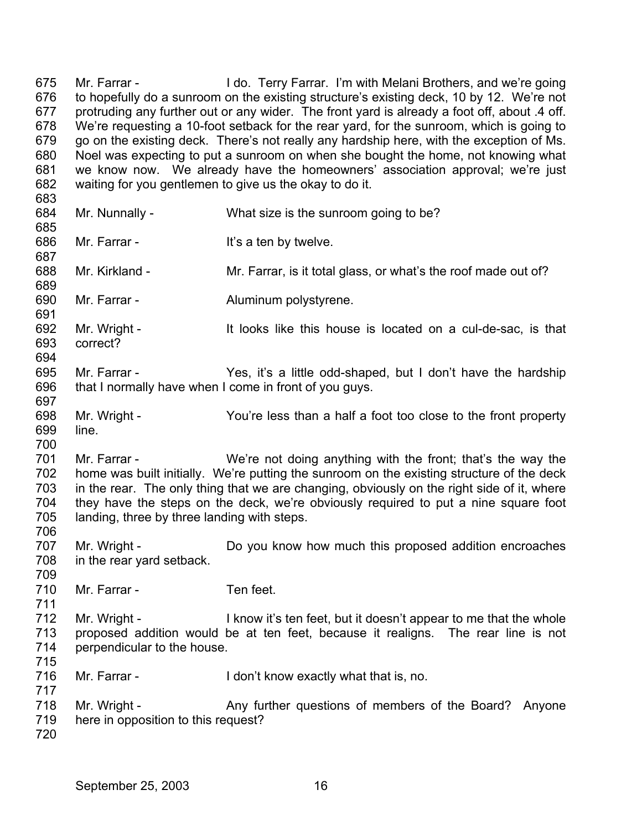675 676 677 678 679 680 681 682 683 684 685 686 687 688 689 690 691 692 693 694 695 696 697 698 699 700 701 702 703 704 705 706 707 708 709 710 711 712 713 714 715 716 717 718 719 720 Mr. Farrar - I do. Terry Farrar. I'm with Melani Brothers, and we're going to hopefully do a sunroom on the existing structure's existing deck, 10 by 12. We're not protruding any further out or any wider. The front yard is already a foot off, about .4 off. We're requesting a 10-foot setback for the rear yard, for the sunroom, which is going to go on the existing deck. There's not really any hardship here, with the exception of Ms. Noel was expecting to put a sunroom on when she bought the home, not knowing what we know now. We already have the homeowners' association approval; we're just waiting for you gentlemen to give us the okay to do it. Mr. Nunnally - What size is the sunroom going to be? Mr. Farrar - The Music Hit's a ten by twelve. Mr. Kirkland - Mr. Farrar, is it total glass, or what's the roof made out of? Mr. Farrar - **Aluminum polystyrene.** Mr. Wright - It looks like this house is located on a cul-de-sac, is that correct? Mr. Farrar - Yes, it's a little odd-shaped, but I don't have the hardship that I normally have when I come in front of you guys. Mr. Wright - You're less than a half a foot too close to the front property line. Mr. Farrar - We're not doing anything with the front; that's the way the home was built initially. We're putting the sunroom on the existing structure of the deck in the rear. The only thing that we are changing, obviously on the right side of it, where they have the steps on the deck, we're obviously required to put a nine square foot landing, three by three landing with steps. Mr. Wright - **Do you know how much this proposed addition encroaches** in the rear yard setback. Mr. Farrar - Ten feet. Mr. Wright - I know it's ten feet, but it doesn't appear to me that the whole proposed addition would be at ten feet, because it realigns. The rear line is not perpendicular to the house. Mr. Farrar - The I don't know exactly what that is, no. Mr. Wright - Any further questions of members of the Board? Anyone here in opposition to this request?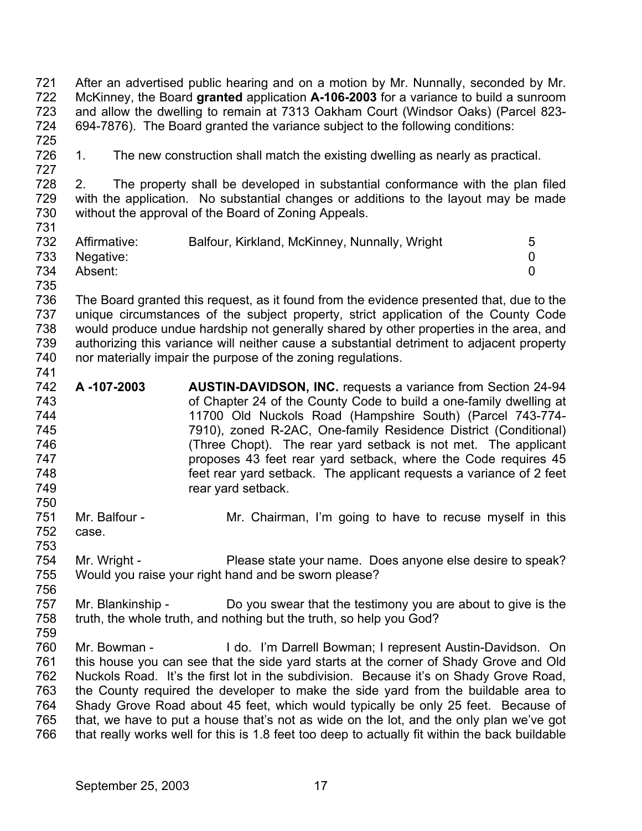721 722 723 724 725 726 727 728 729 730 731 732 733 734 735 736 737 738 739 740 741 742 743 744 745 746 747 748 749 750 751 752 753 754 755 756 757 758 759 760 761 762 763 764 765 766 After an advertised public hearing and on a motion by Mr. Nunnally, seconded by Mr. McKinney, the Board **granted** application **A-106-2003** for a variance to build a sunroom and allow the dwelling to remain at 7313 Oakham Court (Windsor Oaks) (Parcel 823- 694-7876). The Board granted the variance subject to the following conditions: 1. The new construction shall match the existing dwelling as nearly as practical. 2. The property shall be developed in substantial conformance with the plan filed with the application. No substantial changes or additions to the layout may be made without the approval of the Board of Zoning Appeals. Affirmative: Balfour, Kirkland, McKinney, Nunnally, Wright 5 Negative: 0 Absent: 0 The Board granted this request, as it found from the evidence presented that, due to the unique circumstances of the subject property, strict application of the County Code would produce undue hardship not generally shared by other properties in the area, and authorizing this variance will neither cause a substantial detriment to adjacent property nor materially impair the purpose of the zoning regulations. **A -107-2003 AUSTIN-DAVIDSON, INC.** requests a variance from Section 24-94 of Chapter 24 of the County Code to build a one-family dwelling at 11700 Old Nuckols Road (Hampshire South) (Parcel 743-774- 7910), zoned R-2AC, One-family Residence District (Conditional) (Three Chopt). The rear yard setback is not met. The applicant proposes 43 feet rear yard setback, where the Code requires 45 feet rear yard setback. The applicant requests a variance of 2 feet rear yard setback. Mr. Balfour - The Mr. Chairman, I'm going to have to recuse myself in this case. Mr. Wright - Please state your name. Does anyone else desire to speak? Would you raise your right hand and be sworn please? Mr. Blankinship - Do you swear that the testimony you are about to give is the truth, the whole truth, and nothing but the truth, so help you God? Mr. Bowman - The Lido. I'm Darrell Bowman; I represent Austin-Davidson. On this house you can see that the side yard starts at the corner of Shady Grove and Old Nuckols Road. It's the first lot in the subdivision. Because it's on Shady Grove Road, the County required the developer to make the side yard from the buildable area to Shady Grove Road about 45 feet, which would typically be only 25 feet. Because of that, we have to put a house that's not as wide on the lot, and the only plan we've got that really works well for this is 1.8 feet too deep to actually fit within the back buildable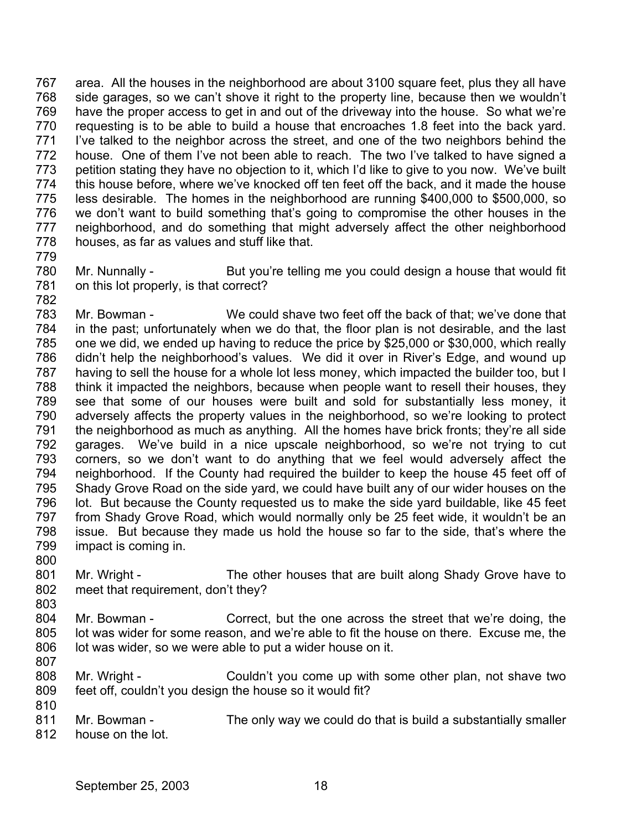767 768 769 770 771 772 773 774 775 776 777 778 779 area. All the houses in the neighborhood are about 3100 square feet, plus they all have side garages, so we can't shove it right to the property line, because then we wouldn't have the proper access to get in and out of the driveway into the house. So what we're requesting is to be able to build a house that encroaches 1.8 feet into the back yard. I've talked to the neighbor across the street, and one of the two neighbors behind the house. One of them I've not been able to reach. The two I've talked to have signed a petition stating they have no objection to it, which I'd like to give to you now. We've built this house before, where we've knocked off ten feet off the back, and it made the house less desirable. The homes in the neighborhood are running \$400,000 to \$500,000, so we don't want to build something that's going to compromise the other houses in the neighborhood, and do something that might adversely affect the other neighborhood houses, as far as values and stuff like that.

780 781 782 Mr. Nunnally - But you're telling me you could design a house that would fit on this lot properly, is that correct?

783 784 785 786 787 788 789 790 791 792 793 794 795 796 797 798 799 Mr. Bowman - We could shave two feet off the back of that; we've done that in the past; unfortunately when we do that, the floor plan is not desirable, and the last one we did, we ended up having to reduce the price by \$25,000 or \$30,000, which really didn't help the neighborhood's values. We did it over in River's Edge, and wound up having to sell the house for a whole lot less money, which impacted the builder too, but I think it impacted the neighbors, because when people want to resell their houses, they see that some of our houses were built and sold for substantially less money, it adversely affects the property values in the neighborhood, so we're looking to protect the neighborhood as much as anything. All the homes have brick fronts; they're all side garages. We've build in a nice upscale neighborhood, so we're not trying to cut corners, so we don't want to do anything that we feel would adversely affect the neighborhood. If the County had required the builder to keep the house 45 feet off of Shady Grove Road on the side yard, we could have built any of our wider houses on the lot. But because the County requested us to make the side yard buildable, like 45 feet from Shady Grove Road, which would normally only be 25 feet wide, it wouldn't be an issue. But because they made us hold the house so far to the side, that's where the impact is coming in.

- 801 802 Mr. Wright - The other houses that are built along Shady Grove have to meet that requirement, don't they?
- 804 805 806 Mr. Bowman - Correct, but the one across the street that we're doing, the lot was wider for some reason, and we're able to fit the house on there. Excuse me, the lot was wider, so we were able to put a wider house on it.
- 808 809 Mr. Wright - Couldn't you come up with some other plan, not shave two feet off, couldn't you design the house so it would fit?
- 811 812 Mr. Bowman - The only way we could do that is build a substantially smaller house on the lot.

800

803

807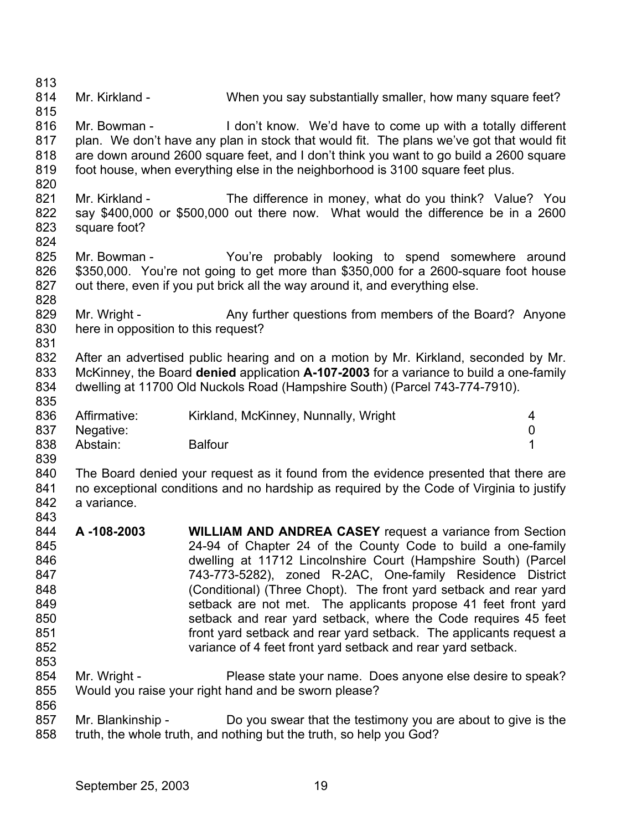813 814 815 816 817 818 819 820 821 822 823 824 825 826 827 828 829 830 831 832 833 834 835 836 837 838 839 840 841 842 843 844 845 846 847 848 849 850 851 852 853 854 855 856 857 858 Mr. Kirkland - When you say substantially smaller, how many square feet? Mr. Bowman - The on't know. We'd have to come up with a totally different plan. We don't have any plan in stock that would fit. The plans we've got that would fit are down around 2600 square feet, and I don't think you want to go build a 2600 square foot house, when everything else in the neighborhood is 3100 square feet plus. Mr. Kirkland - The difference in money, what do you think? Value? You say \$400,000 or \$500,000 out there now. What would the difference be in a 2600 square foot? Mr. Bowman - The You're probably looking to spend somewhere around \$350,000. You're not going to get more than \$350,000 for a 2600-square foot house out there, even if you put brick all the way around it, and everything else. Mr. Wright - Any further questions from members of the Board? Anyone here in opposition to this request? After an advertised public hearing and on a motion by Mr. Kirkland, seconded by Mr. McKinney, the Board **denied** application **A-107-2003** for a variance to build a one-family dwelling at 11700 Old Nuckols Road (Hampshire South) (Parcel 743-774-7910). Affirmative: Kirkland, McKinney, Nunnally, Wright 4 Negative: 0 Abstain: Balfour **1** The Board denied your request as it found from the evidence presented that there are no exceptional conditions and no hardship as required by the Code of Virginia to justify a variance. **A -108-2003 WILLIAM AND ANDREA CASEY** request a variance from Section 24-94 of Chapter 24 of the County Code to build a one-family dwelling at 11712 Lincolnshire Court (Hampshire South) (Parcel 743-773-5282), zoned R-2AC, One-family Residence District (Conditional) (Three Chopt). The front yard setback and rear yard setback are not met. The applicants propose 41 feet front yard setback and rear yard setback, where the Code requires 45 feet front yard setback and rear yard setback. The applicants request a variance of 4 feet front yard setback and rear yard setback. Mr. Wright - Please state your name. Does anyone else desire to speak? Would you raise your right hand and be sworn please? Mr. Blankinship - Do you swear that the testimony you are about to give is the truth, the whole truth, and nothing but the truth, so help you God?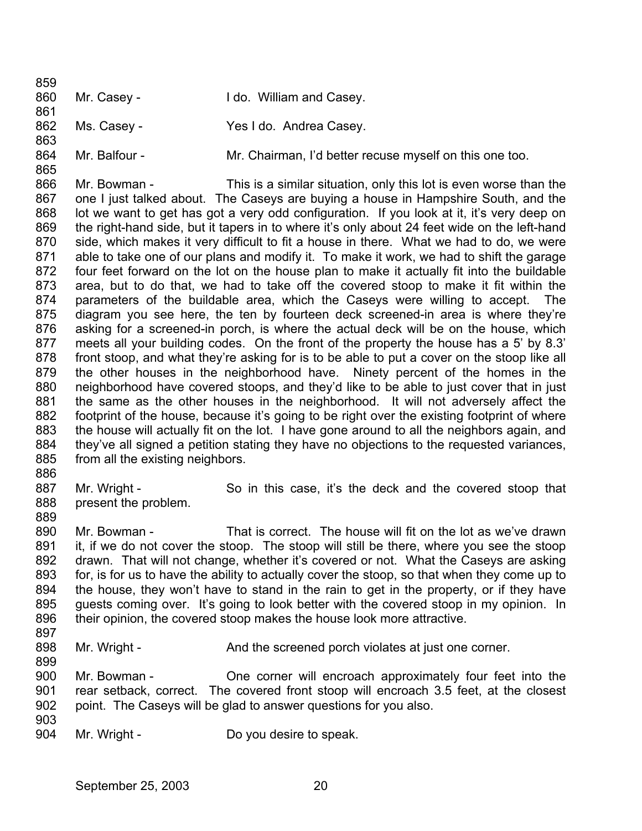859 860 861 862 863 864 865 Mr. Casey - **I do. William and Casey.** Ms. Casey - Yes I do. Andrea Casey. Mr. Balfour - Mr. Chairman, I'd better recuse myself on this one too.

866 867 868 869 870 871 872 873 874 875 876 877 878 879 880 881 882 883 884 885 Mr. Bowman - This is a similar situation, only this lot is even worse than the one I just talked about. The Caseys are buying a house in Hampshire South, and the lot we want to get has got a very odd configuration. If you look at it, it's very deep on the right-hand side, but it tapers in to where it's only about 24 feet wide on the left-hand side, which makes it very difficult to fit a house in there. What we had to do, we were able to take one of our plans and modify it. To make it work, we had to shift the garage four feet forward on the lot on the house plan to make it actually fit into the buildable area, but to do that, we had to take off the covered stoop to make it fit within the parameters of the buildable area, which the Caseys were willing to accept. The diagram you see here, the ten by fourteen deck screened-in area is where they're asking for a screened-in porch, is where the actual deck will be on the house, which meets all your building codes. On the front of the property the house has a 5' by 8.3' front stoop, and what they're asking for is to be able to put a cover on the stoop like all the other houses in the neighborhood have. Ninety percent of the homes in the neighborhood have covered stoops, and they'd like to be able to just cover that in just the same as the other houses in the neighborhood. It will not adversely affect the footprint of the house, because it's going to be right over the existing footprint of where the house will actually fit on the lot. I have gone around to all the neighbors again, and they've all signed a petition stating they have no objections to the requested variances, from all the existing neighbors.

886

889

887 888 Mr. Wright - So in this case, it's the deck and the covered stoop that present the problem.

890 891 892 893 894 895 896 Mr. Bowman - That is correct. The house will fit on the lot as we've drawn it, if we do not cover the stoop. The stoop will still be there, where you see the stoop drawn. That will not change, whether it's covered or not. What the Caseys are asking for, is for us to have the ability to actually cover the stoop, so that when they come up to the house, they won't have to stand in the rain to get in the property, or if they have guests coming over. It's going to look better with the covered stoop in my opinion. In their opinion, the covered stoop makes the house look more attractive.

897

899

898 Mr. Wright - And the screened porch violates at just one corner.

900 901 902 Mr. Bowman - One corner will encroach approximately four feet into the rear setback, correct. The covered front stoop will encroach 3.5 feet, at the closest point. The Caseys will be glad to answer questions for you also.

903

904 Mr. Wright - Do you desire to speak.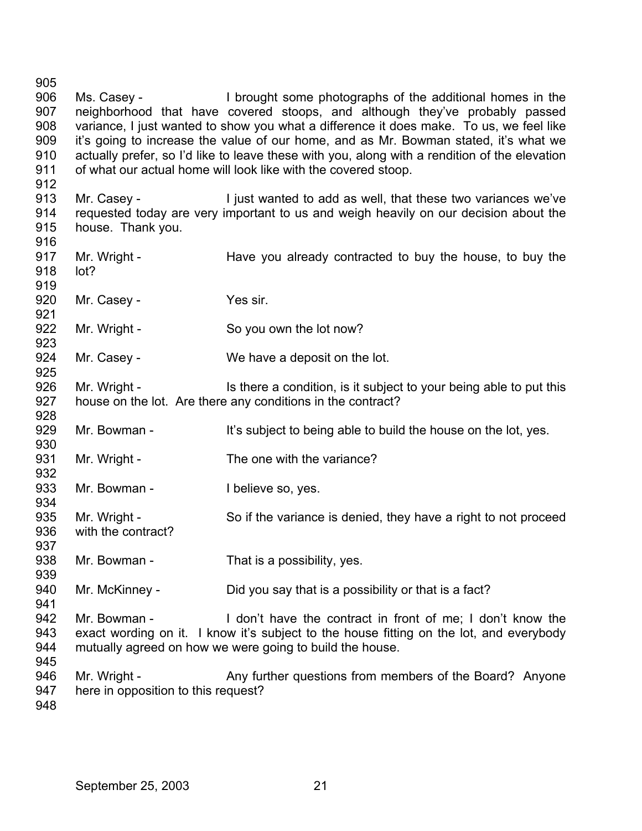Ms. Casey - I brought some photographs of the additional homes in the neighborhood that have covered stoops, and although they've probably passed variance, I just wanted to show you what a difference it does make. To us, we feel like it's going to increase the value of our home, and as Mr. Bowman stated, it's what we actually prefer, so I'd like to leave these with you, along with a rendition of the elevation of what our actual home will look like with the covered stoop. Mr. Casey - Transler is a light wanted to add as well, that these two variances we've requested today are very important to us and weigh heavily on our decision about the house. Thank you. Mr. Wright - The Have you already contracted to buy the house, to buy the lot? Mr. Casey - Yes sir. Mr. Wright - So you own the lot now? Mr. Casey - We have a deposit on the lot. Mr. Wright - Is there a condition, is it subject to your being able to put this house on the lot. Are there any conditions in the contract? Mr. Bowman - It's subject to being able to build the house on the lot, yes. Mr. Wright - The one with the variance? Mr. Bowman - Thelieve so, yes. Mr. Wright - So if the variance is denied, they have a right to not proceed with the contract? Mr. Bowman - That is a possibility, yes. Mr. McKinney - Did you say that is a possibility or that is a fact? Mr. Bowman - I don't have the contract in front of me; I don't know the exact wording on it. I know it's subject to the house fitting on the lot, and everybody mutually agreed on how we were going to build the house. Mr. Wright - Any further questions from members of the Board? Anyone here in opposition to this request?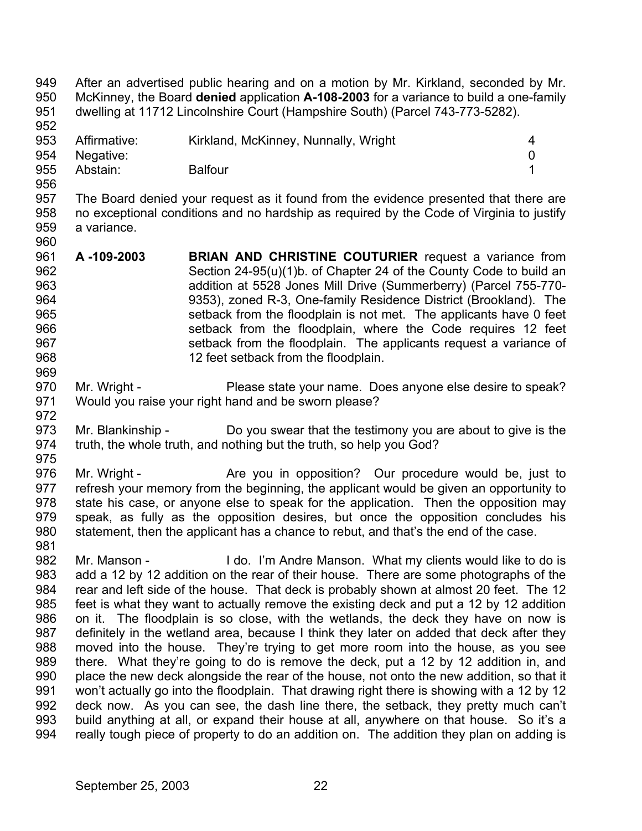950 951 952 953 954 955 956 957 958 959 960 961 962 963 964 965 966 967 968 969 970 971 972 973 974 975 976 977 978 979 980 981 982 983 984 985 986 987 988 989 990 991 992 993 994 McKinney, the Board **denied** application **A-108-2003** for a variance to build a one-family dwelling at 11712 Lincolnshire Court (Hampshire South) (Parcel 743-773-5282). Affirmative: Kirkland, McKinney, Nunnally, Wright 4 Negative: 0 Abstain: Balfour **1** The Board denied your request as it found from the evidence presented that there are no exceptional conditions and no hardship as required by the Code of Virginia to justify a variance. **A -109-2003 BRIAN AND CHRISTINE COUTURIER** request a variance from Section 24-95(u)(1)b. of Chapter 24 of the County Code to build an addition at 5528 Jones Mill Drive (Summerberry) (Parcel 755-770- 9353), zoned R-3, One-family Residence District (Brookland). The setback from the floodplain is not met. The applicants have 0 feet setback from the floodplain, where the Code requires 12 feet setback from the floodplain. The applicants request a variance of 12 feet setback from the floodplain. Mr. Wright - Please state your name. Does anyone else desire to speak? Would you raise your right hand and be sworn please? Mr. Blankinship - Do you swear that the testimony you are about to give is the truth, the whole truth, and nothing but the truth, so help you God? Mr. Wright - The Are you in opposition? Our procedure would be, just to refresh your memory from the beginning, the applicant would be given an opportunity to state his case, or anyone else to speak for the application. Then the opposition may speak, as fully as the opposition desires, but once the opposition concludes his statement, then the applicant has a chance to rebut, and that's the end of the case. Mr. Manson - I do. I'm Andre Manson. What my clients would like to do is add a 12 by 12 addition on the rear of their house. There are some photographs of the rear and left side of the house. That deck is probably shown at almost 20 feet. The 12 feet is what they want to actually remove the existing deck and put a 12 by 12 addition on it. The floodplain is so close, with the wetlands, the deck they have on now is definitely in the wetland area, because I think they later on added that deck after they moved into the house. They're trying to get more room into the house, as you see there. What they're going to do is remove the deck, put a 12 by 12 addition in, and place the new deck alongside the rear of the house, not onto the new addition, so that it won't actually go into the floodplain. That drawing right there is showing with a 12 by 12 deck now. As you can see, the dash line there, the setback, they pretty much can't build anything at all, or expand their house at all, anywhere on that house. So it's a really tough piece of property to do an addition on. The addition they plan on adding is

After an advertised public hearing and on a motion by Mr. Kirkland, seconded by Mr.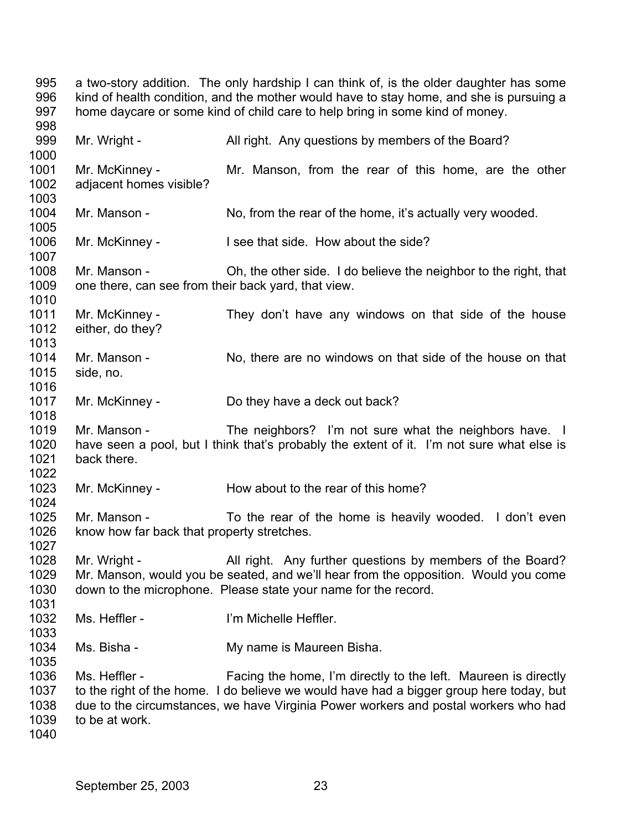995 996 997 998 999 1000 1001 1002 1003 1004 1005 1006 1007 1008 1009 1010 1011 1012 1013 1014 1015 1016 1017 1018 1019 1020 1021 1022 1023 1024 1025 1026 1027 1028 1029 1030 1031 1032 1033 1034 1035 1036 1037 1038 1039 1040 a two-story addition. The only hardship I can think of, is the older daughter has some kind of health condition, and the mother would have to stay home, and she is pursuing a home daycare or some kind of child care to help bring in some kind of money. Mr. Wright - All right. Any questions by members of the Board? Mr. McKinney - The Mr. Manson, from the rear of this home, are the other adjacent homes visible? Mr. Manson - No, from the rear of the home, it's actually very wooded. Mr. McKinney - I see that side. How about the side? Mr. Manson - Oh, the other side. I do believe the neighbor to the right, that one there, can see from their back yard, that view. Mr. McKinney - They don't have any windows on that side of the house either, do they? Mr. Manson - No, there are no windows on that side of the house on that side, no. Mr. McKinney - Do they have a deck out back? Mr. Manson - The neighbors? I'm not sure what the neighbors have. I have seen a pool, but I think that's probably the extent of it. I'm not sure what else is back there. Mr. McKinney - How about to the rear of this home? Mr. Manson - To the rear of the home is heavily wooded. I don't even know how far back that property stretches. Mr. Wright - All right. Any further questions by members of the Board? Mr. Manson, would you be seated, and we'll hear from the opposition. Would you come down to the microphone. Please state your name for the record. Ms. Heffler - I'm Michelle Heffler. Ms. Bisha - **My name is Maureen Bisha.** Ms. Heffler - Facing the home, I'm directly to the left. Maureen is directly to the right of the home. I do believe we would have had a bigger group here today, but due to the circumstances, we have Virginia Power workers and postal workers who had to be at work.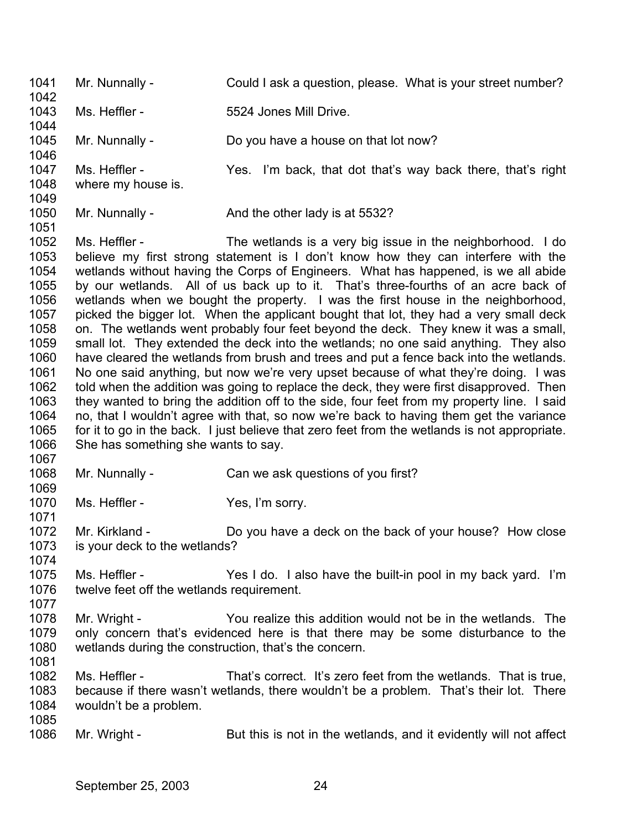1041 1042 1043 1044 1045 1046 1047 1048 1049 1050 1051 1052 1053 1054 1055 1056 1057 1058 1059 1060 1061 1062 1063 1064 1065 1066 1067 1068 1069 1070 1071 1072 1073 1074 1075 1076 1077 1078 1079 1080 1081 1082 1083 1084 1085 1086 Mr. Nunnally - Could I ask a question, please. What is your street number? Ms. Heffler - The State State State State State Mill Drive. Mr. Nunnally - Do you have a house on that lot now? Ms. Heffler - The Yes. I'm back, that dot that's way back there, that's right where my house is. Mr. Nunnally - And the other lady is at 5532? Ms. Heffler - The wetlands is a very big issue in the neighborhood. I do believe my first strong statement is I don't know how they can interfere with the wetlands without having the Corps of Engineers. What has happened, is we all abide by our wetlands. All of us back up to it. That's three-fourths of an acre back of wetlands when we bought the property. I was the first house in the neighborhood, picked the bigger lot. When the applicant bought that lot, they had a very small deck on. The wetlands went probably four feet beyond the deck. They knew it was a small, small lot. They extended the deck into the wetlands; no one said anything. They also have cleared the wetlands from brush and trees and put a fence back into the wetlands. No one said anything, but now we're very upset because of what they're doing. I was told when the addition was going to replace the deck, they were first disapproved. Then they wanted to bring the addition off to the side, four feet from my property line. I said no, that I wouldn't agree with that, so now we're back to having them get the variance for it to go in the back. I just believe that zero feet from the wetlands is not appropriate. She has something she wants to say. Mr. Nunnally - Can we ask questions of you first? Ms. Heffler - Yes, I'm sorry. Mr. Kirkland - Do you have a deck on the back of your house? How close is your deck to the wetlands? Ms. Heffler - Yes I do. I also have the built-in pool in my back yard. I'm twelve feet off the wetlands requirement. Mr. Wright - You realize this addition would not be in the wetlands. The only concern that's evidenced here is that there may be some disturbance to the wetlands during the construction, that's the concern. Ms. Heffler - That's correct. It's zero feet from the wetlands. That is true, because if there wasn't wetlands, there wouldn't be a problem. That's their lot. There wouldn't be a problem. Mr. Wright - But this is not in the wetlands, and it evidently will not affect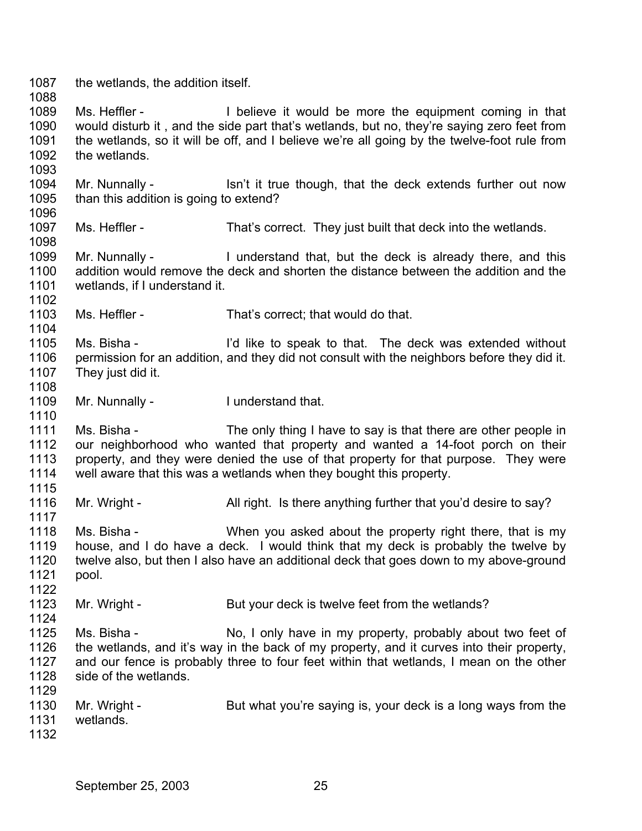1087 1088 1089 1090 1091 1092 1093 1094 1095 1096 1097 1098 1099 1100 1101 1102 1103 1104 1105 1106 1107 1108 1109 1110 1111 1112 1113 1114 1115 1116 1117 1118 1119 1120 1121 1122 1123 1124 1125 1126 1127 1128 1129 1130 1131 1132 the wetlands, the addition itself. Ms. Heffler - I believe it would be more the equipment coming in that would disturb it , and the side part that's wetlands, but no, they're saying zero feet from the wetlands, so it will be off, and I believe we're all going by the twelve-foot rule from the wetlands. Mr. Nunnally - Isn't it true though, that the deck extends further out now than this addition is going to extend? Ms. Heffler - That's correct. They just built that deck into the wetlands. Mr. Nunnally - I understand that, but the deck is already there, and this addition would remove the deck and shorten the distance between the addition and the wetlands, if I understand it. Ms. Heffler - That's correct; that would do that. Ms. Bisha - I'd like to speak to that. The deck was extended without permission for an addition, and they did not consult with the neighbors before they did it. They just did it. Mr. Nunnally - I understand that. Ms. Bisha - The only thing I have to say is that there are other people in our neighborhood who wanted that property and wanted a 14-foot porch on their property, and they were denied the use of that property for that purpose. They were well aware that this was a wetlands when they bought this property. Mr. Wright - All right. Is there anything further that you'd desire to say? Ms. Bisha - When you asked about the property right there, that is my house, and I do have a deck. I would think that my deck is probably the twelve by twelve also, but then I also have an additional deck that goes down to my above-ground pool. Mr. Wright - But your deck is twelve feet from the wetlands? Ms. Bisha - No, I only have in my property, probably about two feet of the wetlands, and it's way in the back of my property, and it curves into their property, and our fence is probably three to four feet within that wetlands, I mean on the other side of the wetlands. Mr. Wright - But what you're saying is, your deck is a long ways from the wetlands.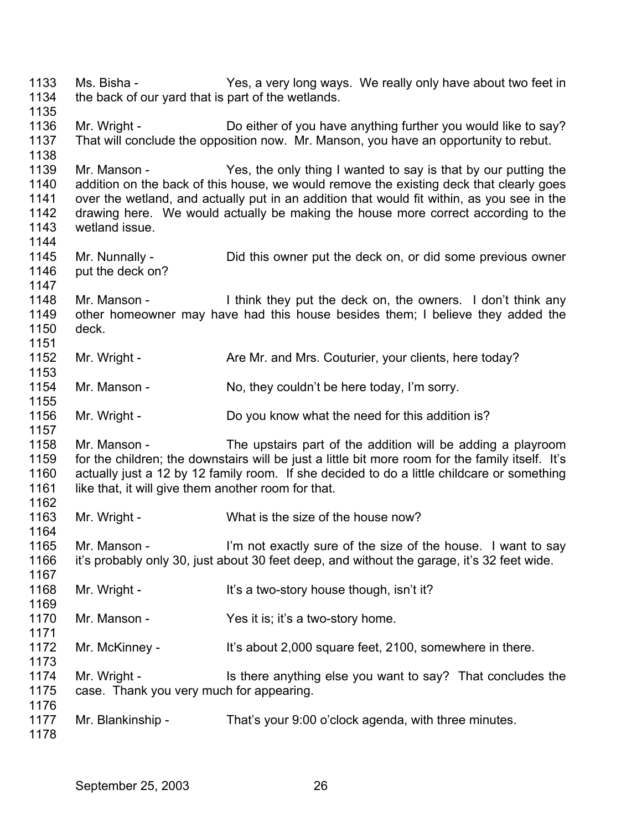1133 1134 1135 1136 1137 1138 1139 1140 1141 1142 1143 1144 1145 1146 1147 1148 1149 1150 1151 1152 1153 1154 1155 1156 1157 1158 1159 1160 1161 1162 1163 1164 1165 1166 1167 1168 1169 1170 1171 1172 1173 1174 1175 1176 1177 1178 Ms. Bisha - Yes, a very long ways. We really only have about two feet in the back of our yard that is part of the wetlands. Mr. Wright - Do either of you have anything further you would like to say? That will conclude the opposition now. Mr. Manson, you have an opportunity to rebut. Mr. Manson - Yes, the only thing I wanted to say is that by our putting the addition on the back of this house, we would remove the existing deck that clearly goes over the wetland, and actually put in an addition that would fit within, as you see in the drawing here. We would actually be making the house more correct according to the wetland issue. Mr. Nunnally - Did this owner put the deck on, or did some previous owner put the deck on? Mr. Manson - I think they put the deck on, the owners. I don't think any other homeowner may have had this house besides them; I believe they added the deck. Mr. Wright - Are Mr. and Mrs. Couturier, your clients, here today? Mr. Manson - No, they couldn't be here today, I'm sorry. Mr. Wright - Do you know what the need for this addition is? Mr. Manson - The upstairs part of the addition will be adding a playroom for the children; the downstairs will be just a little bit more room for the family itself. It's actually just a 12 by 12 family room. If she decided to do a little childcare or something like that, it will give them another room for that. Mr. Wright - What is the size of the house now? Mr. Manson - I'm not exactly sure of the size of the house. I want to say it's probably only 30, just about 30 feet deep, and without the garage, it's 32 feet wide. Mr. Wright - It's a two-story house though, isn't it? Mr. Manson - Yes it is; it's a two-story home. Mr. McKinney - It's about 2,000 square feet, 2100, somewhere in there. Mr. Wright - Is there anything else you want to say? That concludes the case. Thank you very much for appearing. Mr. Blankinship - That's your 9:00 o'clock agenda, with three minutes.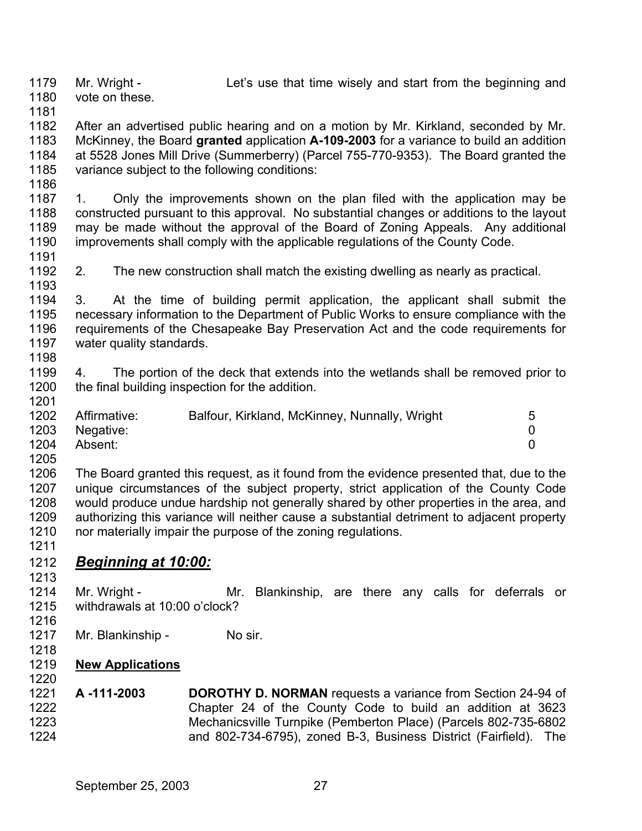1179

1180 vote on these.

1181

1182 1183 1184 1185 After an advertised public hearing and on a motion by Mr. Kirkland, seconded by Mr. McKinney, the Board **granted** application **A-109-2003** for a variance to build an addition at 5528 Jones Mill Drive (Summerberry) (Parcel 755-770-9353). The Board granted the variance subject to the following conditions:

1186

1201

1187 1188 1189 1190 1191 1. Only the improvements shown on the plan filed with the application may be constructed pursuant to this approval. No substantial changes or additions to the layout may be made without the approval of the Board of Zoning Appeals. Any additional improvements shall comply with the applicable regulations of the County Code.

1192 1193 2. The new construction shall match the existing dwelling as nearly as practical.

1194 1195 1196 1197 1198 3. At the time of building permit application, the applicant shall submit the necessary information to the Department of Public Works to ensure compliance with the requirements of the Chesapeake Bay Preservation Act and the code requirements for water quality standards.

1199 1200 4. The portion of the deck that extends into the wetlands shall be removed prior to the final building inspection for the addition.

| 1202 | Affirmative: | Balfour, Kirkland, McKinney, Nunnally, Wright | 5 |
|------|--------------|-----------------------------------------------|---|
| 1203 | Negative:    |                                               |   |
| 1204 | Absent:      |                                               |   |
| 1205 |              |                                               |   |

- 1206 1207 1208 1209 1210 The Board granted this request, as it found from the evidence presented that, due to the unique circumstances of the subject property, strict application of the County Code would produce undue hardship not generally shared by other properties in the area, and authorizing this variance will neither cause a substantial detriment to adjacent property nor materially impair the purpose of the zoning regulations.
- 1211

1216

1218

## 1212 *Beginning at 10:00:* 1213

- 1214 1215 Mr. Wright - The Mr. Blankinship, are there any calls for deferrals or withdrawals at 10:00 o'clock?
- 1217 Mr. Blankinship - No sir.
- 1219 **New Applications** 1220
- 1221 1222 1223 1224 **A -111-2003 DOROTHY D. NORMAN** requests a variance from Section 24-94 of Chapter 24 of the County Code to build an addition at 3623 Mechanicsville Turnpike (Pemberton Place) (Parcels 802-735-6802 and 802-734-6795), zoned B-3, Business District (Fairfield). The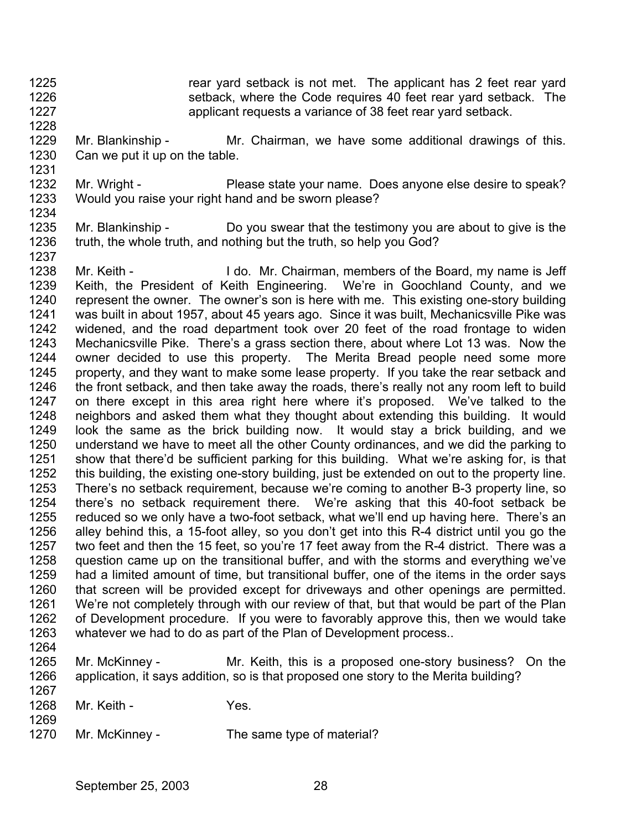- 1225 1226 1227 rear yard setback is not met. The applicant has 2 feet rear yard setback, where the Code requires 40 feet rear yard setback. The applicant requests a variance of 38 feet rear yard setback.
- 1229 1230 Mr. Blankinship - Mr. Chairman, we have some additional drawings of this. Can we put it up on the table.
- 1232 1233 Mr. Wright - Please state your name. Does anyone else desire to speak? Would you raise your right hand and be sworn please?
- 1234

1228

1231

- 1235 1236 1237 Mr. Blankinship - Do you swear that the testimony you are about to give is the truth, the whole truth, and nothing but the truth, so help you God?
- 1238 1239 1240 1241 1242 1243 1244 1245 1246 1247 1248 1249 1250 1251 1252 1253 1254 1255 1256 1257 1258 1259 1260 1261 1262 1263 1264 Mr. Keith - I do. Mr. Chairman, members of the Board, my name is Jeff Keith, the President of Keith Engineering. We're in Goochland County, and we represent the owner. The owner's son is here with me. This existing one-story building was built in about 1957, about 45 years ago. Since it was built, Mechanicsville Pike was widened, and the road department took over 20 feet of the road frontage to widen Mechanicsville Pike. There's a grass section there, about where Lot 13 was. Now the owner decided to use this property. The Merita Bread people need some more property, and they want to make some lease property. If you take the rear setback and the front setback, and then take away the roads, there's really not any room left to build on there except in this area right here where it's proposed. We've talked to the neighbors and asked them what they thought about extending this building. It would look the same as the brick building now. It would stay a brick building, and we understand we have to meet all the other County ordinances, and we did the parking to show that there'd be sufficient parking for this building. What we're asking for, is that this building, the existing one-story building, just be extended on out to the property line. There's no setback requirement, because we're coming to another B-3 property line, so there's no setback requirement there. We're asking that this 40-foot setback be reduced so we only have a two-foot setback, what we'll end up having here. There's an alley behind this, a 15-foot alley, so you don't get into this R-4 district until you go the two feet and then the 15 feet, so you're 17 feet away from the R-4 district. There was a question came up on the transitional buffer, and with the storms and everything we've had a limited amount of time, but transitional buffer, one of the items in the order says that screen will be provided except for driveways and other openings are permitted. We're not completely through with our review of that, but that would be part of the Plan of Development procedure. If you were to favorably approve this, then we would take whatever we had to do as part of the Plan of Development process..
- 1265 1266 Mr. McKinney - The Mr. Keith, this is a proposed one-story business? On the application, it says addition, so is that proposed one story to the Merita building?
- 1268 Mr. Keith - **Yes.**

1267

1269

1270 Mr. McKinney - The same type of material?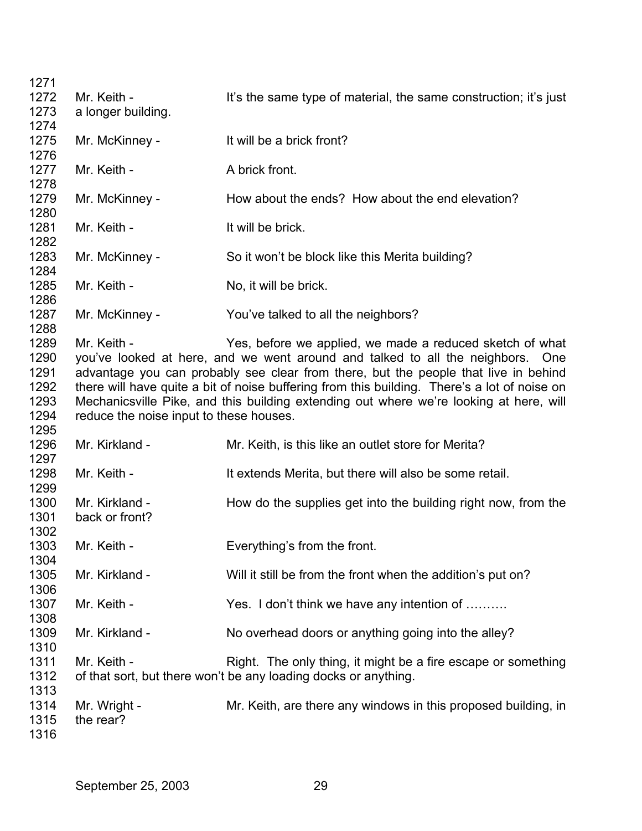| 1271<br>1272 | Mr. Keith -                             | It's the same type of material, the same construction; it's just                             |
|--------------|-----------------------------------------|----------------------------------------------------------------------------------------------|
| 1273<br>1274 | a longer building.                      |                                                                                              |
| 1275<br>1276 | Mr. McKinney -                          | It will be a brick front?                                                                    |
| 1277<br>1278 | Mr. Keith -                             | A brick front.                                                                               |
| 1279<br>1280 | Mr. McKinney -                          | How about the ends? How about the end elevation?                                             |
| 1281<br>1282 | Mr. Keith -                             | It will be brick.                                                                            |
| 1283<br>1284 | Mr. McKinney -                          | So it won't be block like this Merita building?                                              |
| 1285<br>1286 | Mr. Keith -                             | No, it will be brick.                                                                        |
| 1287<br>1288 | Mr. McKinney -                          | You've talked to all the neighbors?                                                          |
| 1289         | Mr. Keith -                             | Yes, before we applied, we made a reduced sketch of what                                     |
| 1290         |                                         | you've looked at here, and we went around and talked to all the neighbors. One               |
| 1291         |                                         | advantage you can probably see clear from there, but the people that live in behind          |
| 1292         |                                         | there will have quite a bit of noise buffering from this building. There's a lot of noise on |
| 1293         |                                         | Mechanicsville Pike, and this building extending out where we're looking at here, will       |
| 1294         | reduce the noise input to these houses. |                                                                                              |
| 1295         |                                         |                                                                                              |
| 1296<br>1297 | Mr. Kirkland -                          | Mr. Keith, is this like an outlet store for Merita?                                          |
| 1298<br>1299 | Mr. Keith -                             | It extends Merita, but there will also be some retail.                                       |
| 1300<br>1301 | Mr. Kirkland -<br>back or front?        | How do the supplies get into the building right now, from the                                |
| 1302         |                                         |                                                                                              |
| 1303<br>1304 | Mr. Keith -                             | Everything's from the front.                                                                 |
| 1305<br>1306 | Mr. Kirkland -                          | Will it still be from the front when the addition's put on?                                  |
| 1307<br>1308 | Mr. Keith -                             | Yes. I don't think we have any intention of                                                  |
| 1309<br>1310 | Mr. Kirkland -                          | No overhead doors or anything going into the alley?                                          |
| 1311         | Mr. Keith -                             | Right. The only thing, it might be a fire escape or something                                |
| 1312<br>1313 |                                         | of that sort, but there won't be any loading docks or anything.                              |
| 1314         | Mr. Wright -                            | Mr. Keith, are there any windows in this proposed building, in                               |
| 1315<br>1316 | the rear?                               |                                                                                              |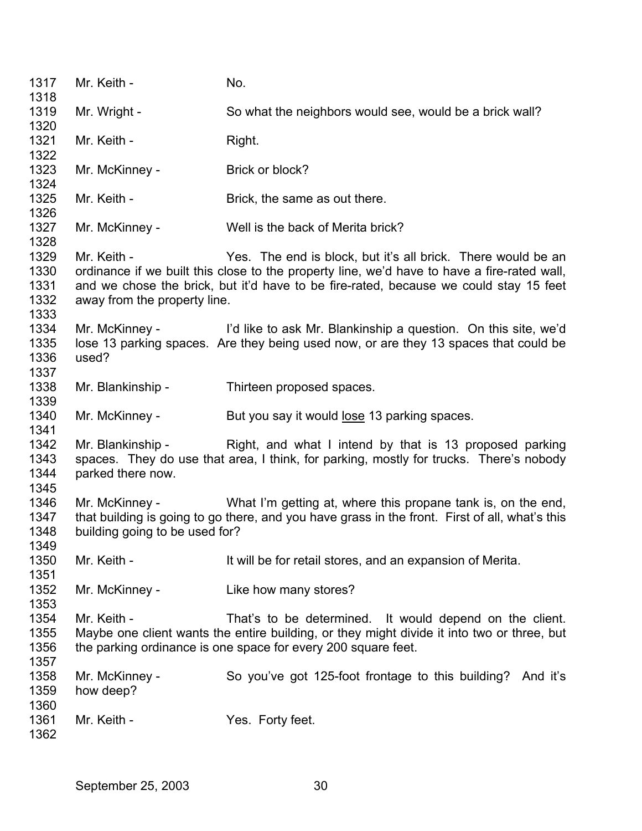1317 1318 1319 1320 1321 1322 1323 1324 1325 1326 1327 1328 1329 1330 1331 1332 1333 1334 1335 1336 1337 1338 1339 Mr. Keith - No. Mr. Wright - So what the neighbors would see, would be a brick wall? Mr. Keith - Right. Mr. McKinney - Brick or block? Mr. Keith - Brick, the same as out there. Mr. McKinney - Well is the back of Merita brick? Mr. Keith - Yes. The end is block, but it's all brick. There would be an ordinance if we built this close to the property line, we'd have to have a fire-rated wall, and we chose the brick, but it'd have to be fire-rated, because we could stay 15 feet away from the property line. Mr. McKinney - I'd like to ask Mr. Blankinship a question. On this site, we'd lose 13 parking spaces. Are they being used now, or are they 13 spaces that could be used? Mr. Blankinship - Thirteen proposed spaces. 1340 Mr. McKinney - But you say it would lose 13 parking spaces. 1341 1342 1343 1344 1345 1346 1347 1348 1349 1350 1351 1352 1353 1354 1355 1356 1357 1358 1359 1360 1361 1362 Mr. Blankinship - Right, and what I intend by that is 13 proposed parking spaces. They do use that area, I think, for parking, mostly for trucks. There's nobody parked there now. Mr. McKinney - What I'm getting at, where this propane tank is, on the end, that building is going to go there, and you have grass in the front. First of all, what's this building going to be used for? Mr. Keith - It will be for retail stores, and an expansion of Merita. Mr. McKinney - Like how many stores? Mr. Keith - That's to be determined. It would depend on the client. Maybe one client wants the entire building, or they might divide it into two or three, but the parking ordinance is one space for every 200 square feet. Mr. McKinney - So you've got 125-foot frontage to this building? And it's how deep? Mr. Keith - The Yes. Forty feet.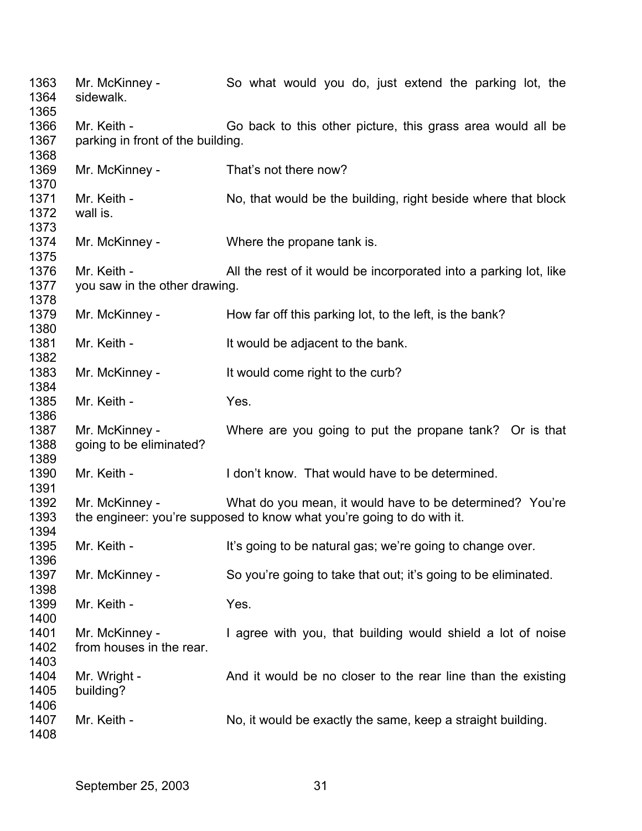| 1363<br>1364<br>1365 | Mr. McKinney -<br>sidewalk.                      | So what would you do, just extend the parking lot, the                 |
|----------------------|--------------------------------------------------|------------------------------------------------------------------------|
| 1366<br>1367         | Mr. Keith -<br>parking in front of the building. | Go back to this other picture, this grass area would all be            |
| 1368                 |                                                  |                                                                        |
| 1369<br>1370         | Mr. McKinney -                                   | That's not there now?                                                  |
| 1371                 | Mr. Keith -                                      | No, that would be the building, right beside where that block          |
| 1372                 | wall is.                                         |                                                                        |
| 1373                 |                                                  |                                                                        |
| 1374                 | Mr. McKinney -                                   | Where the propane tank is.                                             |
| 1375                 |                                                  |                                                                        |
| 1376                 | Mr. Keith -                                      | All the rest of it would be incorporated into a parking lot, like      |
| 1377                 | you saw in the other drawing.                    |                                                                        |
| 1378                 |                                                  |                                                                        |
| 1379                 | Mr. McKinney -                                   | How far off this parking lot, to the left, is the bank?                |
| 1380                 |                                                  |                                                                        |
| 1381                 | Mr. Keith -                                      | It would be adjacent to the bank.                                      |
| 1382                 |                                                  |                                                                        |
| 1383                 | Mr. McKinney -                                   | It would come right to the curb?                                       |
| 1384                 |                                                  |                                                                        |
| 1385                 | Mr. Keith -                                      | Yes.                                                                   |
| 1386                 |                                                  |                                                                        |
| 1387                 | Mr. McKinney -                                   | Where are you going to put the propane tank? Or is that                |
| 1388                 | going to be eliminated?                          |                                                                        |
| 1389                 |                                                  |                                                                        |
| 1390                 | Mr. Keith -                                      | I don't know. That would have to be determined.                        |
| 1391                 |                                                  |                                                                        |
| 1392                 | Mr. McKinney -                                   | What do you mean, it would have to be determined? You're               |
| 1393<br>1394         |                                                  | the engineer: you're supposed to know what you're going to do with it. |
| 1395                 | Mr. Keith -                                      | It's going to be natural gas; we're going to change over.              |
| 1396                 |                                                  |                                                                        |
| 1397                 | Mr. McKinney -                                   | So you're going to take that out; it's going to be eliminated.         |
| 1398                 |                                                  |                                                                        |
| 1399                 | Mr. Keith -                                      | Yes.                                                                   |
| 1400                 |                                                  |                                                                        |
| 1401                 | Mr. McKinney -                                   | I agree with you, that building would shield a lot of noise            |
| 1402                 | from houses in the rear.                         |                                                                        |
| 1403                 |                                                  |                                                                        |
| 1404                 | Mr. Wright -                                     | And it would be no closer to the rear line than the existing           |
| 1405                 | building?                                        |                                                                        |
| 1406                 |                                                  |                                                                        |
| 1407                 | Mr. Keith -                                      | No, it would be exactly the same, keep a straight building.            |
| 1408                 |                                                  |                                                                        |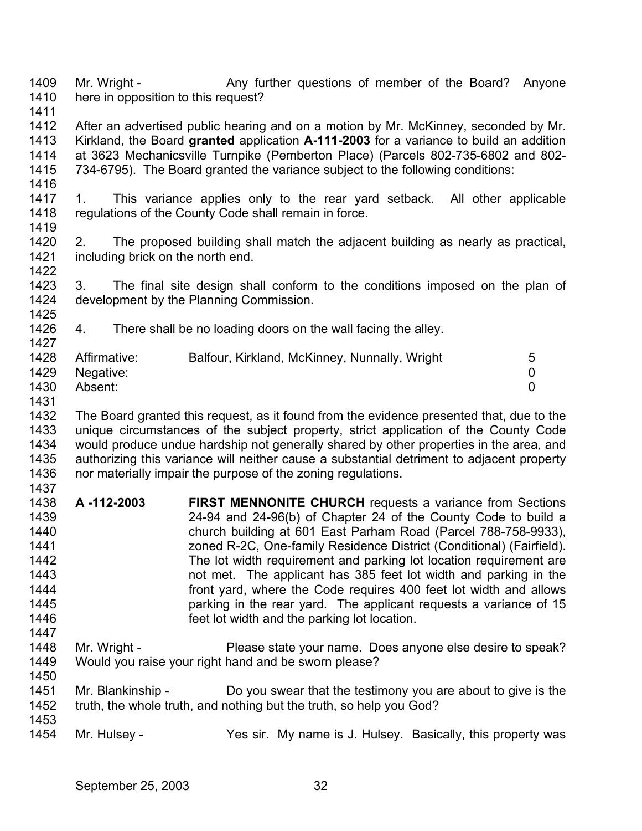1409 1410 1411 Mr. Wright - Any further questions of member of the Board? Anyone here in opposition to this request?

- 1412 1413 1414 1415 After an advertised public hearing and on a motion by Mr. McKinney, seconded by Mr. Kirkland, the Board **granted** application **A-111-2003** for a variance to build an addition at 3623 Mechanicsville Turnpike (Pemberton Place) (Parcels 802-735-6802 and 802- 734-6795). The Board granted the variance subject to the following conditions:
- 1416

1425

1450

1417 1418 1419 1. This variance applies only to the rear yard setback. All other applicable regulations of the County Code shall remain in force.

- 1420 1421 1422 2. The proposed building shall match the adjacent building as nearly as practical, including brick on the north end.
- 1423 1424 3. The final site design shall conform to the conditions imposed on the plan of development by the Planning Commission.
- 1426 1427 4. There shall be no loading doors on the wall facing the alley.

| 1428 | Affirmative:   | Balfour, Kirkland, McKinney, Nunnally, Wright | 5 |
|------|----------------|-----------------------------------------------|---|
|      | 1429 Negative: |                                               |   |
| 1430 | Absent:        |                                               |   |

1431

1432 1433 1434 1435 1436 1437 The Board granted this request, as it found from the evidence presented that, due to the unique circumstances of the subject property, strict application of the County Code would produce undue hardship not generally shared by other properties in the area, and authorizing this variance will neither cause a substantial detriment to adjacent property nor materially impair the purpose of the zoning regulations.

- 1438 1439 1440 1441 1442 1443 1444 1445 1446 1447 **A -112-2003 FIRST MENNONITE CHURCH** requests a variance from Sections 24-94 and 24-96(b) of Chapter 24 of the County Code to build a church building at 601 East Parham Road (Parcel 788-758-9933), zoned R-2C, One-family Residence District (Conditional) (Fairfield). The lot width requirement and parking lot location requirement are not met. The applicant has 385 feet lot width and parking in the front yard, where the Code requires 400 feet lot width and allows parking in the rear yard. The applicant requests a variance of 15 feet lot width and the parking lot location.
- 1448 1449 Mr. Wright - Please state your name. Does anyone else desire to speak? Would you raise your right hand and be sworn please?
- 1451 1452 1453 Mr. Blankinship - Do you swear that the testimony you are about to give is the truth, the whole truth, and nothing but the truth, so help you God?
- 1454 Mr. Hulsey - Yes sir. My name is J. Hulsey. Basically, this property was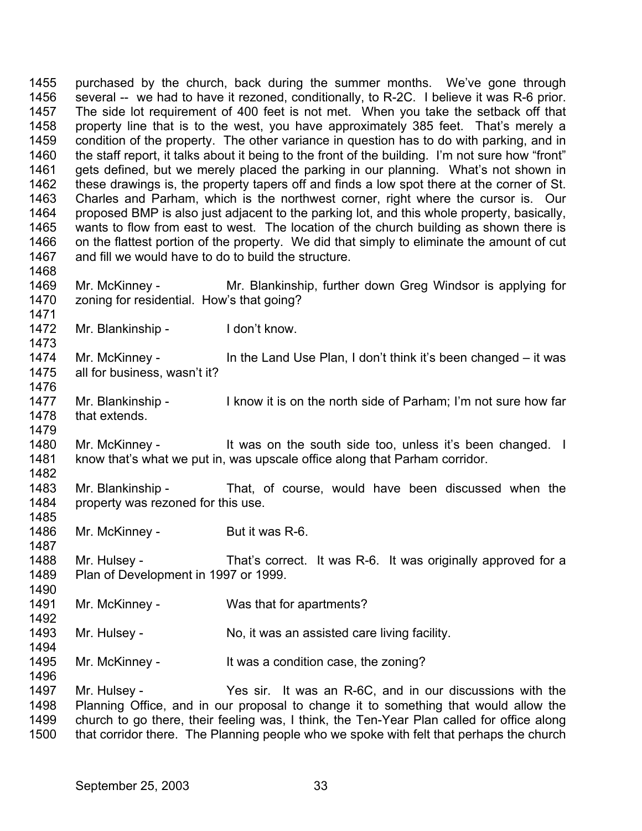1455 1456 1457 1458 1459 1460 1461 1462 1463 1464 1465 1466 1467 1468 1469 1470 1471 1472 1473 1474 1475 1476 1477 1478 1479 1480 1481 1482 1483 1484 1485 1486 1487 1488 1489 1490 1491 1492 1493 1494 1495 1496 1497 1498 1499 1500 purchased by the church, back during the summer months. We've gone through several -- we had to have it rezoned, conditionally, to R-2C. I believe it was R-6 prior. The side lot requirement of 400 feet is not met. When you take the setback off that property line that is to the west, you have approximately 385 feet. That's merely a condition of the property. The other variance in question has to do with parking, and in the staff report, it talks about it being to the front of the building. I'm not sure how "front" gets defined, but we merely placed the parking in our planning. What's not shown in these drawings is, the property tapers off and finds a low spot there at the corner of St. Charles and Parham, which is the northwest corner, right where the cursor is. Our proposed BMP is also just adjacent to the parking lot, and this whole property, basically, wants to flow from east to west. The location of the church building as shown there is on the flattest portion of the property. We did that simply to eliminate the amount of cut and fill we would have to do to build the structure. Mr. McKinney - Mr. Blankinship, further down Greg Windsor is applying for zoning for residential. How's that going? Mr. Blankinship - I don't know. Mr. McKinney - In the Land Use Plan, I don't think it's been changed – it was all for business, wasn't it? Mr. Blankinship - I know it is on the north side of Parham; I'm not sure how far that extends. Mr. McKinney - It was on the south side too, unless it's been changed. I know that's what we put in, was upscale office along that Parham corridor. Mr. Blankinship - That, of course, would have been discussed when the property was rezoned for this use. Mr. McKinney - But it was R-6. Mr. Hulsey - That's correct. It was R-6. It was originally approved for a Plan of Development in 1997 or 1999. Mr. McKinney - Was that for apartments? Mr. Hulsey - No, it was an assisted care living facility. Mr. McKinney - It was a condition case, the zoning? Mr. Hulsey - The Yes sir. It was an R-6C, and in our discussions with the Planning Office, and in our proposal to change it to something that would allow the church to go there, their feeling was, I think, the Ten-Year Plan called for office along that corridor there. The Planning people who we spoke with felt that perhaps the church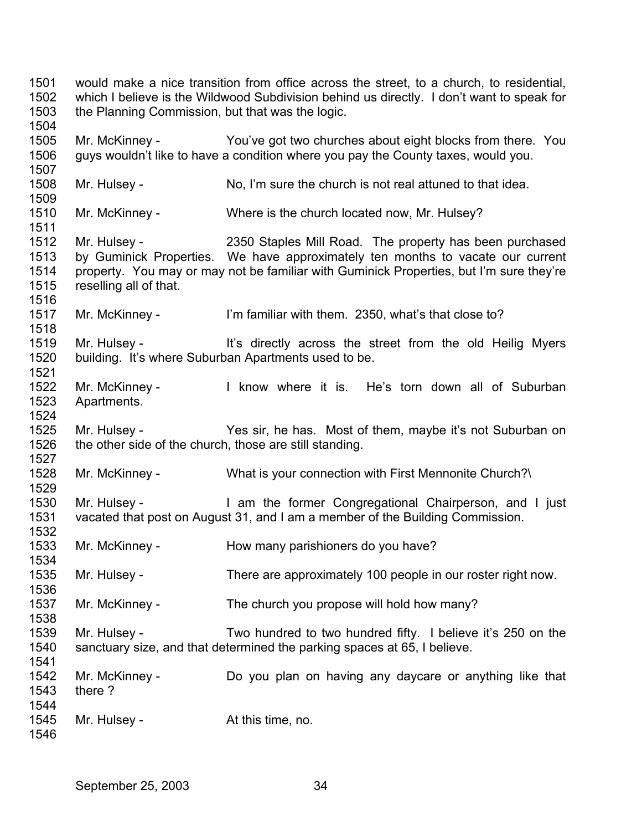would make a nice transition from office across the street, to a church, to residential, which I believe is the Wildwood Subdivision behind us directly. I don't want to speak for the Planning Commission, but that was the logic. Mr. McKinney - You've got two churches about eight blocks from there. You guys wouldn't like to have a condition where you pay the County taxes, would you. Mr. Hulsey - No, I'm sure the church is not real attuned to that idea. Mr. McKinney - Where is the church located now, Mr. Hulsey? Mr. Hulsey - 2350 Staples Mill Road. The property has been purchased by Guminick Properties. We have approximately ten months to vacate our current property. You may or may not be familiar with Guminick Properties, but I'm sure they're reselling all of that. Mr. McKinney - I'm familiar with them. 2350, what's that close to? Mr. Hulsey - The Music of the street from the old Heilig Myers building. It's where Suburban Apartments used to be. Mr. McKinney - The Know where it is. He's torn down all of Suburban Apartments. Mr. Hulsey - Yes sir, he has. Most of them, maybe it's not Suburban on the other side of the church, those are still standing. Mr. McKinney - What is your connection with First Mennonite Church?\ Mr. Hulsey - The Mr am the former Congregational Chairperson, and I just vacated that post on August 31, and I am a member of the Building Commission. Mr. McKinney - How many parishioners do you have? Mr. Hulsey - There are approximately 100 people in our roster right now. Mr. McKinney - The church you propose will hold how many? Mr. Hulsey - Two hundred to two hundred fifty. I believe it's 250 on the sanctuary size, and that determined the parking spaces at 65, I believe. Mr. McKinney - Do you plan on having any daycare or anything like that there ? Mr. Hulsey - The At this time, no.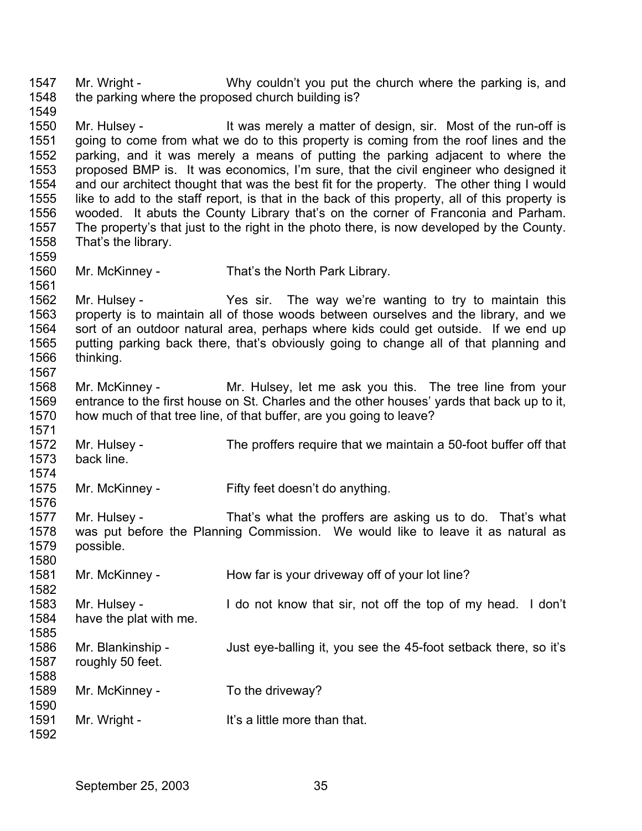1547 1548 1549 1550 1551 1552 1553 1554 1555 1556 1557 1558 1559 1560 1561 1562 1563 1564 1565 1566 1567 1568 1569 1570 1571 1572 1573 1574 1575 1576 1577 1578 1579 1580 1581 1582 1583 1584 1585 1586 1587 1588 1589 1590 1591 1592 Mr. Wright - Why couldn't you put the church where the parking is, and the parking where the proposed church building is? Mr. Hulsey - It was merely a matter of design, sir. Most of the run-off is going to come from what we do to this property is coming from the roof lines and the parking, and it was merely a means of putting the parking adjacent to where the proposed BMP is. It was economics, I'm sure, that the civil engineer who designed it and our architect thought that was the best fit for the property. The other thing I would like to add to the staff report, is that in the back of this property, all of this property is wooded. It abuts the County Library that's on the corner of Franconia and Parham. The property's that just to the right in the photo there, is now developed by the County. That's the library. Mr. McKinney - That's the North Park Library. Mr. Hulsey - The sir. The way we're wanting to try to maintain this property is to maintain all of those woods between ourselves and the library, and we sort of an outdoor natural area, perhaps where kids could get outside. If we end up putting parking back there, that's obviously going to change all of that planning and thinking. Mr. McKinney - The Mr. Hulsey, let me ask you this. The tree line from your entrance to the first house on St. Charles and the other houses' yards that back up to it, how much of that tree line, of that buffer, are you going to leave? Mr. Hulsey - The proffers require that we maintain a 50-foot buffer off that back line. Mr. McKinney - Fifty feet doesn't do anything. Mr. Hulsey - That's what the proffers are asking us to do. That's what was put before the Planning Commission. We would like to leave it as natural as possible. Mr. McKinney - How far is your driveway off of your lot line? Mr. Hulsey - I do not know that sir, not off the top of my head. I don't have the plat with me. Mr. Blankinship - Just eye-balling it, you see the 45-foot setback there, so it's roughly 50 feet. Mr. McKinney - To the driveway? Mr. Wright - The Muslim Hit's a little more than that.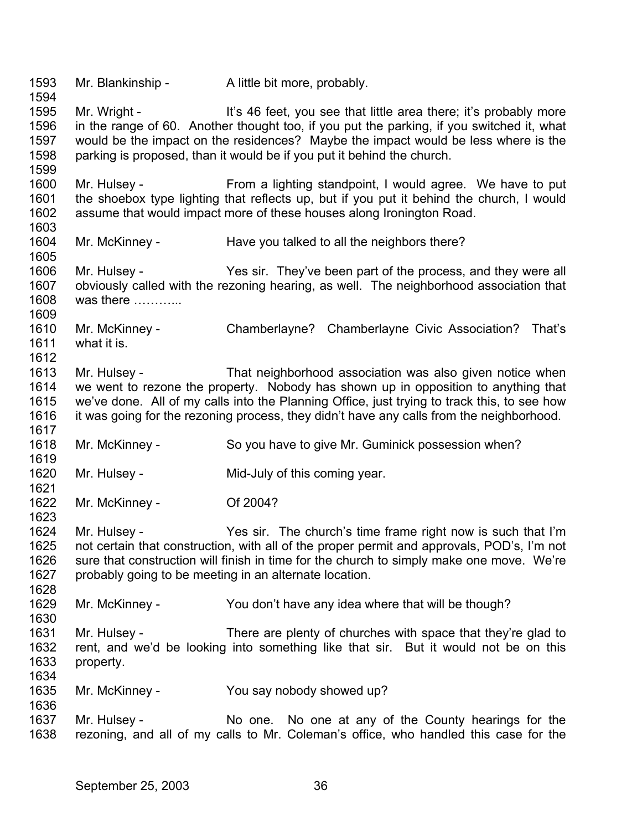1593 1594 1595 1596 1597 1598 1599 1600 1601 1602 1603 1604 1605 1606 1607 1608 1609 1610 1611 1612 1613 1614 1615 1616 1617 1618 1619 1620 1621 1622 1623 1624 1625 1626 1627 1628 1629 1630 1631 1632 1633 1634 1635 1636 1637 1638 Mr. Blankinship - A little bit more, probably. Mr. Wright - It's 46 feet, you see that little area there; it's probably more in the range of 60. Another thought too, if you put the parking, if you switched it, what would be the impact on the residences? Maybe the impact would be less where is the parking is proposed, than it would be if you put it behind the church. Mr. Hulsey - From a lighting standpoint, I would agree. We have to put the shoebox type lighting that reflects up, but if you put it behind the church, I would assume that would impact more of these houses along Ironington Road. Mr. McKinney - Have you talked to all the neighbors there? Mr. Hulsey - Yes sir. They've been part of the process, and they were all obviously called with the rezoning hearing, as well. The neighborhood association that was there ………… Mr. McKinney - Chamberlayne? Chamberlayne Civic Association? That's what it is. Mr. Hulsey - That neighborhood association was also given notice when we went to rezone the property. Nobody has shown up in opposition to anything that we've done. All of my calls into the Planning Office, just trying to track this, to see how it was going for the rezoning process, they didn't have any calls from the neighborhood. Mr. McKinney - So you have to give Mr. Guminick possession when? Mr. Hulsey - **Mid-July of this coming year.** Mr. McKinney - Of 2004? Mr. Hulsey - The sir. The church's time frame right now is such that I'm not certain that construction, with all of the proper permit and approvals, POD's, I'm not sure that construction will finish in time for the church to simply make one move. We're probably going to be meeting in an alternate location. Mr. McKinney - You don't have any idea where that will be though? Mr. Hulsey - There are plenty of churches with space that they're glad to rent, and we'd be looking into something like that sir. But it would not be on this property. Mr. McKinney - You say nobody showed up? Mr. Hulsey - No one. No one at any of the County hearings for the rezoning, and all of my calls to Mr. Coleman's office, who handled this case for the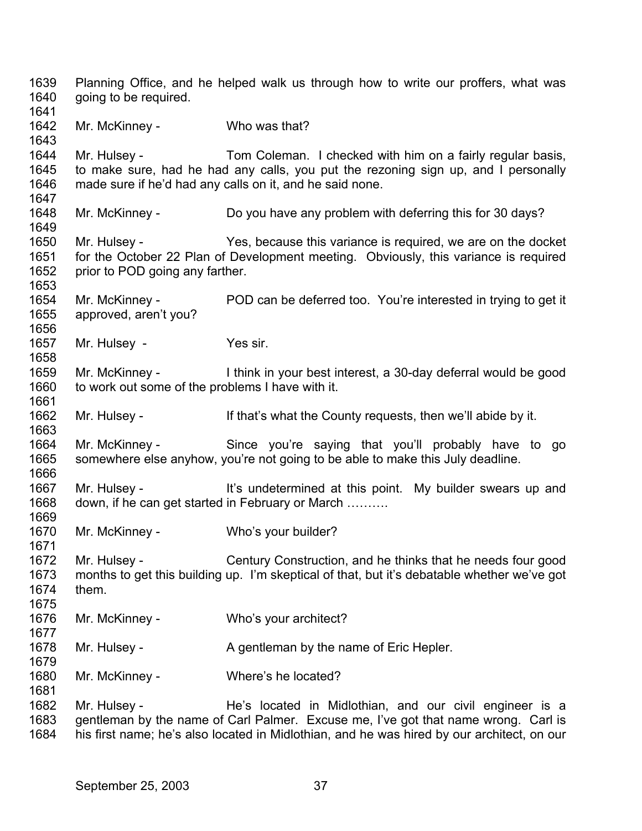1639 1640 1641 1642 1643 1644 1645 1646 1647 1648 1649 1650 1651 1652 1653 1654 1655 1656 1657 1658 1659 1660 1661 1662 1663 1664 1665 1666 1667 1668 1669 1670 1671 1672 1673 1674 1675 1676 1677 1678 1679 1680 1681 1682 1683 1684 Planning Office, and he helped walk us through how to write our proffers, what was going to be required. Mr. McKinney - Who was that? Mr. Hulsey - Tom Coleman. I checked with him on a fairly regular basis, to make sure, had he had any calls, you put the rezoning sign up, and I personally made sure if he'd had any calls on it, and he said none. Mr. McKinney - Do you have any problem with deferring this for 30 days? Mr. Hulsey - Yes, because this variance is required, we are on the docket for the October 22 Plan of Development meeting. Obviously, this variance is required prior to POD going any farther. Mr. McKinney - POD can be deferred too. You're interested in trying to get it approved, aren't you? Mr. Hulsey - Yes sir. Mr. McKinney - I think in your best interest, a 30-day deferral would be good to work out some of the problems I have with it. Mr. Hulsey - If that's what the County requests, then we'll abide by it. Mr. McKinney - Since you're saying that you'll probably have to go somewhere else anyhow, you're not going to be able to make this July deadline. Mr. Hulsey - It's undetermined at this point. My builder swears up and down, if he can get started in February or March ………. Mr. McKinney - Who's your builder? Mr. Hulsey - Century Construction, and he thinks that he needs four good months to get this building up. I'm skeptical of that, but it's debatable whether we've got them. Mr. McKinney - Who's your architect? Mr. Hulsey - A gentleman by the name of Eric Hepler. Mr. McKinney - Where's he located? Mr. Hulsey - The He's located in Midlothian, and our civil engineer is a gentleman by the name of Carl Palmer. Excuse me, I've got that name wrong. Carl is his first name; he's also located in Midlothian, and he was hired by our architect, on our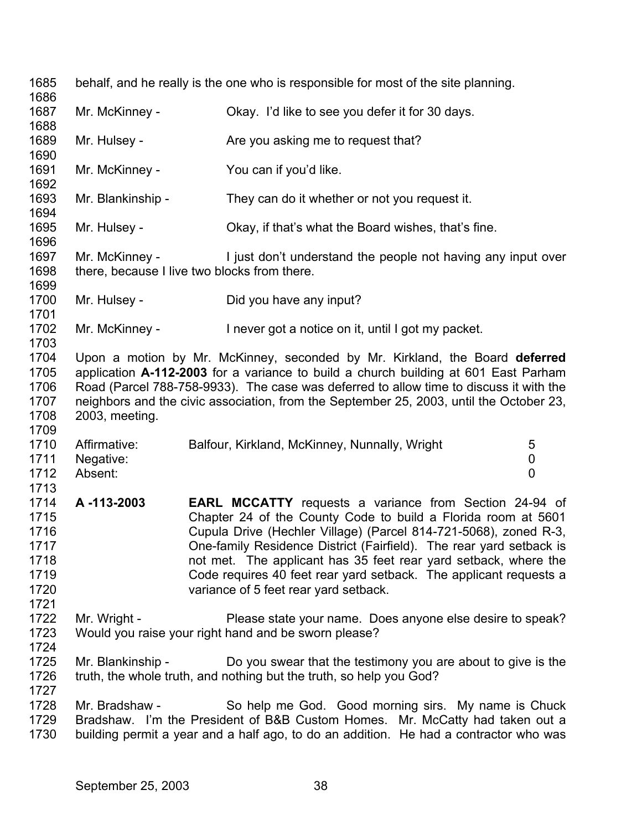1685 1686 1687 1688 1689 1690 1691 1692 1693 1694 1695 1696 1697 1698 1699 1700 1701 1702 1703 1704 1705 1706 1707 1708 1709 1710 1711 1712 1713 1714 1715 1716 1717 1718 1719 1720 1721 1722 1723 1724 1725 1726 1727 1728 1729 1730 behalf, and he really is the one who is responsible for most of the site planning. Mr. McKinney - Ckay. I'd like to see you defer it for 30 days. Mr. Hulsey - Are you asking me to request that? Mr. McKinney - You can if you'd like. Mr. Blankinship - They can do it whether or not you request it. Mr. Hulsey - Okay, if that's what the Board wishes, that's fine. Mr. McKinney - I just don't understand the people not having any input over there, because I live two blocks from there. Mr. Hulsey - Did you have any input? Mr. McKinney - Inever got a notice on it, until I got my packet. Upon a motion by Mr. McKinney, seconded by Mr. Kirkland, the Board **deferred** application **A-112-2003** for a variance to build a church building at 601 East Parham Road (Parcel 788-758-9933). The case was deferred to allow time to discuss it with the neighbors and the civic association, from the September 25, 2003, until the October 23, 2003, meeting. Affirmative: Balfour, Kirkland, McKinney, Nunnally, Wright 5 Negative: 0 Absent: 0 **A -113-2003 EARL MCCATTY** requests a variance from Section 24-94 of Chapter 24 of the County Code to build a Florida room at 5601 Cupula Drive (Hechler Village) (Parcel 814-721-5068), zoned R-3, One-family Residence District (Fairfield). The rear yard setback is not met. The applicant has 35 feet rear yard setback, where the Code requires 40 feet rear yard setback. The applicant requests a variance of 5 feet rear yard setback. Mr. Wright - Please state your name. Does anyone else desire to speak? Would you raise your right hand and be sworn please? Mr. Blankinship - Do you swear that the testimony you are about to give is the truth, the whole truth, and nothing but the truth, so help you God? Mr. Bradshaw - So help me God. Good morning sirs. My name is Chuck Bradshaw. I'm the President of B&B Custom Homes. Mr. McCatty had taken out a building permit a year and a half ago, to do an addition. He had a contractor who was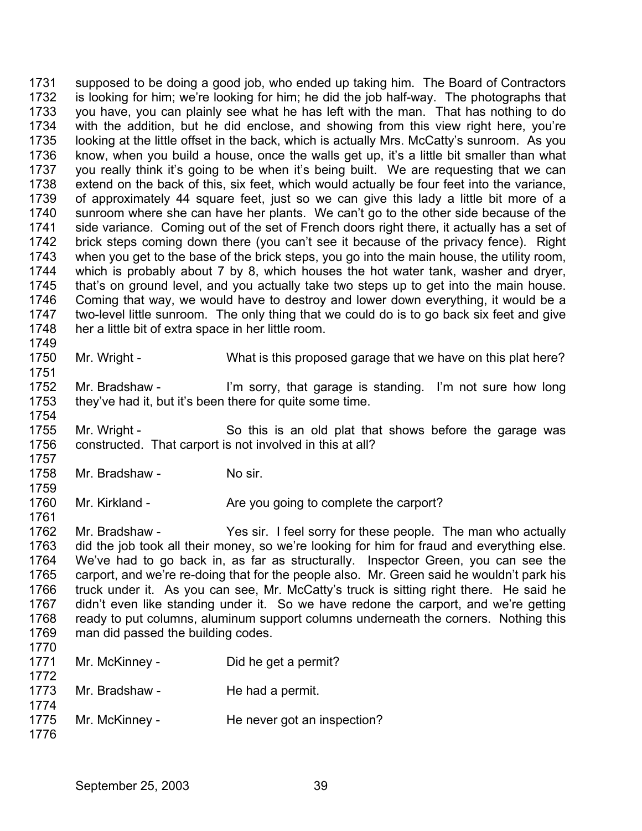1731 1732 1733 1734 1735 1736 1737 1738 1739 1740 1741 1742 1743 1744 1745 1746 1747 1748 1749 supposed to be doing a good job, who ended up taking him. The Board of Contractors is looking for him; we're looking for him; he did the job half-way. The photographs that you have, you can plainly see what he has left with the man. That has nothing to do with the addition, but he did enclose, and showing from this view right here, you're looking at the little offset in the back, which is actually Mrs. McCatty's sunroom. As you know, when you build a house, once the walls get up, it's a little bit smaller than what you really think it's going to be when it's being built. We are requesting that we can extend on the back of this, six feet, which would actually be four feet into the variance, of approximately 44 square feet, just so we can give this lady a little bit more of a sunroom where she can have her plants. We can't go to the other side because of the side variance. Coming out of the set of French doors right there, it actually has a set of brick steps coming down there (you can't see it because of the privacy fence). Right when you get to the base of the brick steps, you go into the main house, the utility room, which is probably about 7 by 8, which houses the hot water tank, washer and dryer, that's on ground level, and you actually take two steps up to get into the main house. Coming that way, we would have to destroy and lower down everything, it would be a two-level little sunroom. The only thing that we could do is to go back six feet and give her a little bit of extra space in her little room.

1750 Mr. Wright - What is this proposed garage that we have on this plat here?

1752 1753 1754 Mr. Bradshaw - I'm sorry, that garage is standing. I'm not sure how long they've had it, but it's been there for quite some time.

1755 1756 1757 Mr. Wright - So this is an old plat that shows before the garage was constructed. That carport is not involved in this at all?

1758 Mr. Bradshaw - No sir.

1751

1759

1761

1760 Mr. Kirkland - Are you going to complete the carport?

1762 1763 1764 1765 1766 1767 1768 1769 1770 Mr. Bradshaw - Yes sir. I feel sorry for these people. The man who actually did the job took all their money, so we're looking for him for fraud and everything else. We've had to go back in, as far as structurally. Inspector Green, you can see the carport, and we're re-doing that for the people also. Mr. Green said he wouldn't park his truck under it. As you can see, Mr. McCatty's truck is sitting right there. He said he didn't even like standing under it. So we have redone the carport, and we're getting ready to put columns, aluminum support columns underneath the corners. Nothing this man did passed the building codes.

| 1771 | Mr. McKinney - | Did he get a permit?        |
|------|----------------|-----------------------------|
| 1772 |                |                             |
| 1773 | Mr. Bradshaw - | He had a permit.            |
| 1774 |                |                             |
| 1775 | Mr. McKinney - | He never got an inspection? |
| 1776 |                |                             |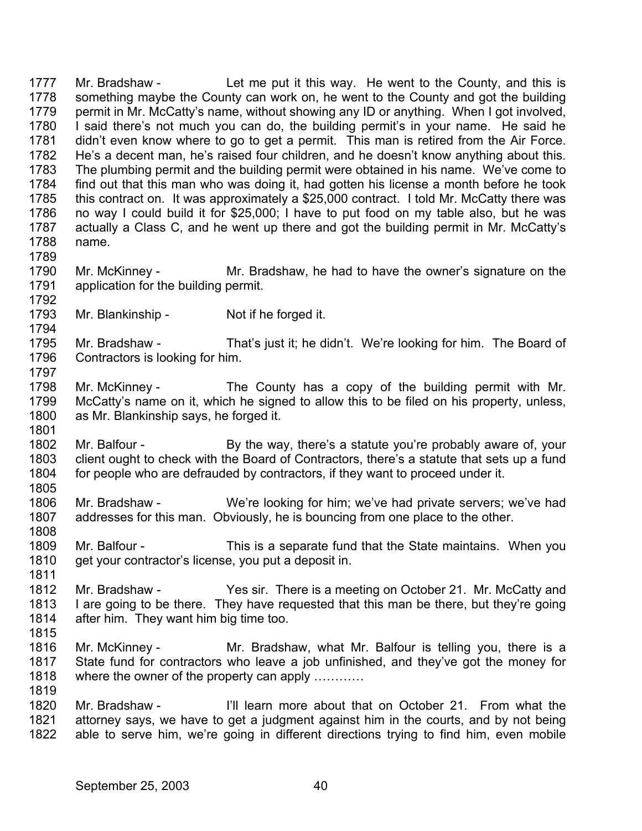1777 1778 1779 1780 1781 1782 1783 1784 1785 1786 1787 1788 1789 Mr. Bradshaw - Let me put it this way. He went to the County, and this is something maybe the County can work on, he went to the County and got the building permit in Mr. McCatty's name, without showing any ID or anything. When I got involved, I said there's not much you can do, the building permit's in your name. He said he didn't even know where to go to get a permit. This man is retired from the Air Force. He's a decent man, he's raised four children, and he doesn't know anything about this. The plumbing permit and the building permit were obtained in his name. We've come to find out that this man who was doing it, had gotten his license a month before he took this contract on. It was approximately a \$25,000 contract. I told Mr. McCatty there was no way I could build it for \$25,000; I have to put food on my table also, but he was actually a Class C, and he went up there and got the building permit in Mr. McCatty's name.

1790 1791 Mr. McKinney - Mr. Bradshaw, he had to have the owner's signature on the application for the building permit.

1793 Mr. Blankinship - Not if he forged it.

1795 1796 1797 Mr. Bradshaw - That's just it; he didn't. We're looking for him. The Board of Contractors is looking for him.

- 1798 1799 1800 Mr. McKinney - The County has a copy of the building permit with Mr. McCatty's name on it, which he signed to allow this to be filed on his property, unless, as Mr. Blankinship says, he forged it.
- 1802 1803 1804 Mr. Balfour - By the way, there's a statute you're probably aware of, your client ought to check with the Board of Contractors, there's a statute that sets up a fund for people who are defrauded by contractors, if they want to proceed under it.
- 1806 1807 1808 Mr. Bradshaw - We're looking for him; we've had private servers; we've had addresses for this man. Obviously, he is bouncing from one place to the other.
- 1809 1810 Mr. Balfour - This is a separate fund that the State maintains. When you get your contractor's license, you put a deposit in.
- 1812 1813 1814 Mr. Bradshaw - Yes sir. There is a meeting on October 21. Mr. McCatty and I are going to be there. They have requested that this man be there, but they're going after him. They want him big time too.
- 1815

1811

1792

1794

1801

1805

1816 1817 1818 1819 Mr. McKinney - The Mr. Bradshaw, what Mr. Balfour is telling you, there is a State fund for contractors who leave a job unfinished, and they've got the money for where the owner of the property can apply ...........

1820 1821 1822 Mr. Bradshaw - I'll learn more about that on October 21. From what the attorney says, we have to get a judgment against him in the courts, and by not being able to serve him, we're going in different directions trying to find him, even mobile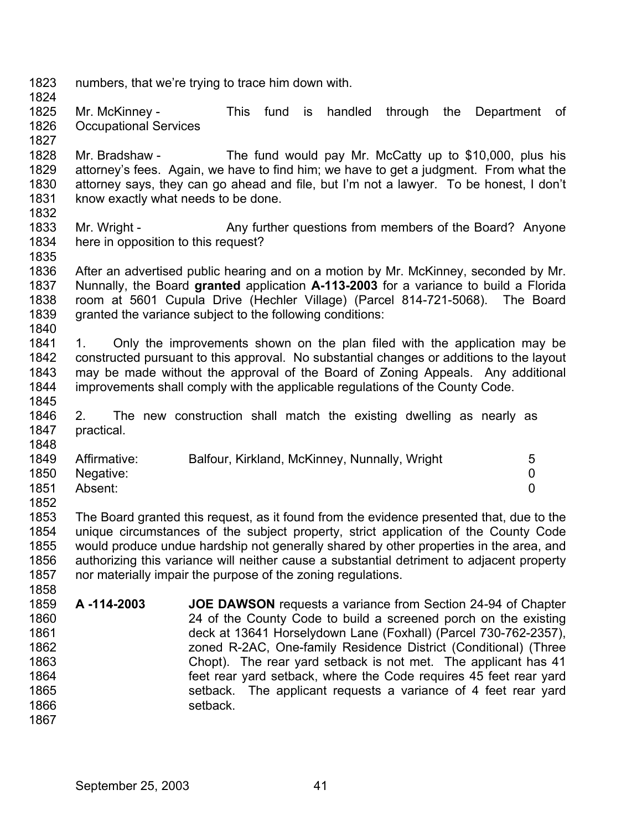1823 numbers, that we're trying to trace him down with.

1824

1835

1845

1848

- 1825 1826 1827 Mr. McKinney - This fund is handled through the Department of Occupational Services
- 1828 1829 1830 1831 1832 Mr. Bradshaw - The fund would pay Mr. McCatty up to \$10,000, plus his attorney's fees. Again, we have to find him; we have to get a judgment. From what the attorney says, they can go ahead and file, but I'm not a lawyer. To be honest, I don't know exactly what needs to be done.
- 1833 1834 Mr. Wright - Any further questions from members of the Board? Anyone here in opposition to this request?
- 1836 1837 1838 1839 1840 After an advertised public hearing and on a motion by Mr. McKinney, seconded by Mr. Nunnally, the Board **granted** application **A-113-2003** for a variance to build a Florida room at 5601 Cupula Drive (Hechler Village) (Parcel 814-721-5068). The Board granted the variance subject to the following conditions:
- 1841 1842 1843 1844 1. Only the improvements shown on the plan filed with the application may be constructed pursuant to this approval. No substantial changes or additions to the layout may be made without the approval of the Board of Zoning Appeals. Any additional improvements shall comply with the applicable regulations of the County Code.
- 1846 1847 2. The new construction shall match the existing dwelling as nearly as practical.

| 1849 | Affirmative: | Balfour, Kirkland, McKinney, Nunnally, Wright | 5 |
|------|--------------|-----------------------------------------------|---|
| 1850 | Negative:    |                                               |   |
| 1851 | Absent:      |                                               |   |
| 1852 |              |                                               |   |

1853 1854 1855 1856 1857 1858 The Board granted this request, as it found from the evidence presented that, due to the unique circumstances of the subject property, strict application of the County Code would produce undue hardship not generally shared by other properties in the area, and authorizing this variance will neither cause a substantial detriment to adjacent property nor materially impair the purpose of the zoning regulations.

- 1859 1860 1861 1862 1863 1864 1865 1866 1867 **A -114-2003 JOE DAWSON** requests a variance from Section 24-94 of Chapter 24 of the County Code to build a screened porch on the existing deck at 13641 Horselydown Lane (Foxhall) (Parcel 730-762-2357), zoned R-2AC, One-family Residence District (Conditional) (Three Chopt). The rear yard setback is not met. The applicant has 41 feet rear yard setback, where the Code requires 45 feet rear yard setback. The applicant requests a variance of 4 feet rear yard setback.
	- September 25, 2003 41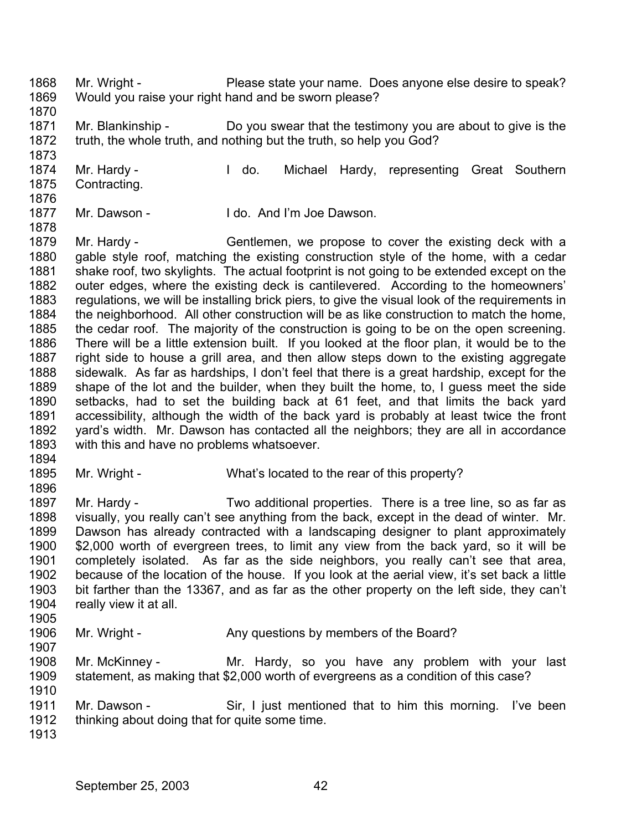- 1868 1869 Mr. Wright - Please state your name. Does anyone else desire to speak? Would you raise your right hand and be sworn please?
- 1870

1873

- 1871 1872 Mr. Blankinship - Do you swear that the testimony you are about to give is the truth, the whole truth, and nothing but the truth, so help you God?
- 1874 1875 1876 Mr. Hardy - The Michael Hardy, representing Great Southern Contracting.
- 1877 Mr. Dawson - The I do. And I'm Joe Dawson.
- 1878 1879 1880 1881 1882 1883 1884 1885 1886 1887 1888 1889 1890 1891 1892 1893 Mr. Hardy - Gentlemen, we propose to cover the existing deck with a gable style roof, matching the existing construction style of the home, with a cedar shake roof, two skylights. The actual footprint is not going to be extended except on the outer edges, where the existing deck is cantilevered. According to the homeowners' regulations, we will be installing brick piers, to give the visual look of the requirements in the neighborhood. All other construction will be as like construction to match the home, the cedar roof. The majority of the construction is going to be on the open screening. There will be a little extension built. If you looked at the floor plan, it would be to the right side to house a grill area, and then allow steps down to the existing aggregate sidewalk. As far as hardships, I don't feel that there is a great hardship, except for the shape of the lot and the builder, when they built the home, to, I guess meet the side setbacks, had to set the building back at 61 feet, and that limits the back yard accessibility, although the width of the back yard is probably at least twice the front yard's width. Mr. Dawson has contacted all the neighbors; they are all in accordance with this and have no problems whatsoever.
- 1894
- 1895 1896 Mr. Wright - What's located to the rear of this property?
- 1897 1898 1899 1900 1901 1902 1903 1904 Mr. Hardy - Two additional properties. There is a tree line, so as far as visually, you really can't see anything from the back, except in the dead of winter. Mr. Dawson has already contracted with a landscaping designer to plant approximately \$2,000 worth of evergreen trees, to limit any view from the back yard, so it will be completely isolated. As far as the side neighbors, you really can't see that area, because of the location of the house. If you look at the aerial view, it's set back a little bit farther than the 13367, and as far as the other property on the left side, they can't really view it at all.
- 1905 1906 Mr. Wright - Any questions by members of the Board?
- 1908 1909 Mr. McKinney - The Mr. Hardy, so you have any problem with your last statement, as making that \$2,000 worth of evergreens as a condition of this case?
- 1911 1912 Mr. Dawson - Sir, I just mentioned that to him this morning. I've been thinking about doing that for quite some time.
- 1913

1907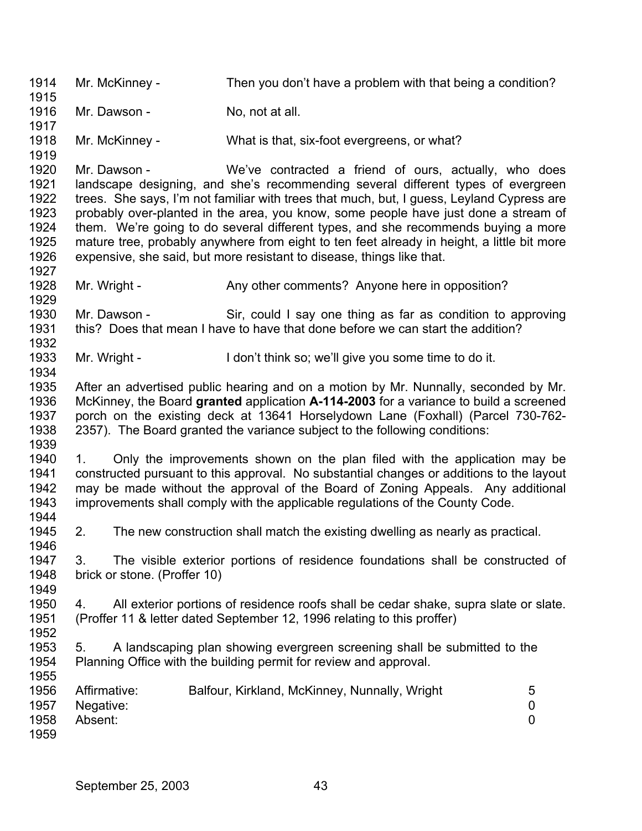1914 1915 1916 1917 1918 1919 1920 1921 1922 1923 1924 1925 1926 1927 1928 1929 1930 1931 1932 1933 1934 1935 1936 1937 1938 1939 1940 1941 1942 1943 1944 1945 1946 1947 1948 1949 1950 1951 1952 1953 1954 1955 1956 1957 1958 1959 Mr. McKinney - Then you don't have a problem with that being a condition? Mr. Dawson - No, not at all. Mr. McKinney - What is that, six-foot evergreens, or what? Mr. Dawson - We've contracted a friend of ours, actually, who does landscape designing, and she's recommending several different types of evergreen trees. She says, I'm not familiar with trees that much, but, I guess, Leyland Cypress are probably over-planted in the area, you know, some people have just done a stream of them. We're going to do several different types, and she recommends buying a more mature tree, probably anywhere from eight to ten feet already in height, a little bit more expensive, she said, but more resistant to disease, things like that. Mr. Wright - Any other comments? Anyone here in opposition? Mr. Dawson - Sir, could I say one thing as far as condition to approving this? Does that mean I have to have that done before we can start the addition? Mr. Wright - I don't think so; we'll give you some time to do it. After an advertised public hearing and on a motion by Mr. Nunnally, seconded by Mr. McKinney, the Board **granted** application **A-114-2003** for a variance to build a screened porch on the existing deck at 13641 Horselydown Lane (Foxhall) (Parcel 730-762- 2357). The Board granted the variance subject to the following conditions: 1. Only the improvements shown on the plan filed with the application may be constructed pursuant to this approval. No substantial changes or additions to the layout may be made without the approval of the Board of Zoning Appeals. Any additional improvements shall comply with the applicable regulations of the County Code. 2. The new construction shall match the existing dwelling as nearly as practical. 3. The visible exterior portions of residence foundations shall be constructed of brick or stone. (Proffer 10) 4. All exterior portions of residence roofs shall be cedar shake, supra slate or slate. (Proffer 11 & letter dated September 12, 1996 relating to this proffer) 5. A landscaping plan showing evergreen screening shall be submitted to the Planning Office with the building permit for review and approval. Affirmative: Balfour, Kirkland, McKinney, Nunnally, Wright 5 Negative: 0 Absent: 0